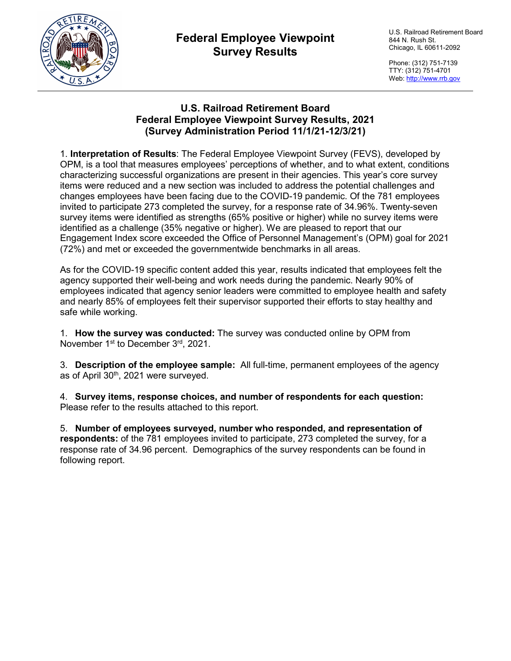

## **Federal Employee Viewpoint Survey Results**

U.S. Railroad Retirement Board 844 N. Rush St. Chicago, IL 60611-2092

Phone: (312) 751-7139 TTY: (312) 751-4701 Web: [http://www.rrb.gov](http://www.rrb.gov/)

### **U.S. Railroad Retirement Board Federal Employee Viewpoint Survey Results, 2021 (Survey Administration Period 11/1/21-12/3/21)**

1. **Interpretation of Results**: The Federal Employee Viewpoint Survey (FEVS), developed by OPM, is a tool that measures employees' perceptions of whether, and to what extent, conditions characterizing successful organizations are present in their agencies. This year's core survey items were reduced and a new section was included to address the potential challenges and changes employees have been facing due to the COVID-19 pandemic. Of the 781 employees invited to participate 273 completed the survey, for a response rate of 34.96%. Twenty-seven survey items were identified as strengths (65% positive or higher) while no survey items were identified as a challenge (35% negative or higher). We are pleased to report that our Engagement Index score exceeded the Office of Personnel Management's (OPM) goal for 2021 (72%) and met or exceeded the governmentwide benchmarks in all areas.

As for the COVID-19 specific content added this year, results indicated that employees felt the agency supported their well-being and work needs during the pandemic. Nearly 90% of employees indicated that agency senior leaders were committed to employee health and safety and nearly 85% of employees felt their supervisor supported their efforts to stay healthy and safe while working.

1. **How the survey was conducted:** The survey was conducted online by OPM from November 1<sup>st</sup> to December 3<sup>rd</sup>, 2021.

3. **Description of the employee sample:** All full-time, permanent employees of the agency as of April 30<sup>th</sup>, 2021 were surveyed.

4. **Survey items, response choices, and number of respondents for each question:**  Please refer to the results attached to this report.

5. **Number of employees surveyed, number who responded, and representation of respondents:** of the 781 employees invited to participate, 273 completed the survey, for a response rate of 34.96 percent. Demographics of the survey respondents can be found in following report.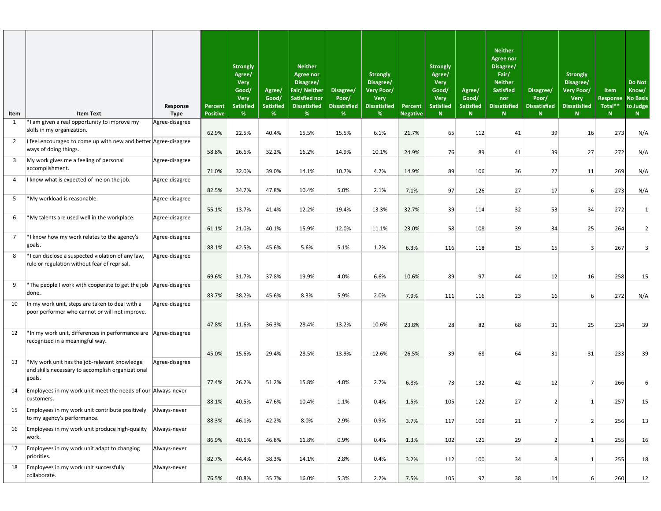| Item           | <b>Item Text</b>                                                                                            | Response<br><b>Type</b> | <b>Percent</b><br><b>Positive</b> | <b>Strongly</b><br>Agree/<br><b>Very</b><br>Good/<br><b>Very</b><br><b>Satisfied</b><br>% | Agree/<br>Good/<br><b>Satisfied</b><br>% | <b>Neither</b><br><b>Agree nor</b><br>Disagree/<br><b>Fair/Neither</b><br><b>Satisfied nor</b><br><b>Dissatisfied</b><br>% | Disagree/<br>Poor/<br><b>Dissatisfied</b><br>$\frac{96}{6}$ | <b>Strongly</b><br>Disagree/<br>Very Poor/<br><b>Very</b><br><b>Dissatisfied</b><br>% | <b>Percent</b><br><b>Negative</b> | <b>Strongly</b><br>Agree/<br><b>Very</b><br>Good/<br><b>Very</b><br><b>Satisfied</b><br>N | Agree/<br>Good/<br><b>Satisfied</b><br>N | <b>Neither</b><br><b>Agree nor</b><br>Disagree/<br>Fair/<br><b>Neither</b><br><b>Satisfied</b><br>nor<br><b>Dissatisfied</b><br>N | Disagree/<br>Poor/<br>Dissatisfied<br><b>N</b> | <b>Strongly</b><br>Disagree/<br><b>Very Poor/</b><br><b>Very</b><br><b>Dissatisfied</b><br>$\mathbb{N}$ | Item<br><b>Response</b><br>Total**<br>N | <b>Do Not</b><br>Know/<br><b>No Basis</b><br>to Judge<br>N |
|----------------|-------------------------------------------------------------------------------------------------------------|-------------------------|-----------------------------------|-------------------------------------------------------------------------------------------|------------------------------------------|----------------------------------------------------------------------------------------------------------------------------|-------------------------------------------------------------|---------------------------------------------------------------------------------------|-----------------------------------|-------------------------------------------------------------------------------------------|------------------------------------------|-----------------------------------------------------------------------------------------------------------------------------------|------------------------------------------------|---------------------------------------------------------------------------------------------------------|-----------------------------------------|------------------------------------------------------------|
| 1              | *I am given a real opportunity to improve my<br>skills in my organization.                                  | Agree-disagree          |                                   |                                                                                           | 40.4%                                    |                                                                                                                            |                                                             | 6.1%                                                                                  |                                   |                                                                                           |                                          |                                                                                                                                   |                                                |                                                                                                         |                                         |                                                            |
| 2              | I feel encouraged to come up with new and better Agree-disagree<br>ways of doing things.                    |                         | 62.9%<br>58.8%                    | 22.5%<br>26.6%                                                                            | 32.2%                                    | 15.5%<br>16.2%                                                                                                             | 15.5%<br>14.9%                                              | 10.1%                                                                                 | 21.7%<br>24.9%                    | 65<br>76                                                                                  | 112<br>89                                | 41<br>41                                                                                                                          | 39<br>39                                       | 16<br>27                                                                                                | 273<br>272                              | N/A<br>N/A                                                 |
| 3              | My work gives me a feeling of personal<br>accomplishment.                                                   | Agree-disagree          | 71.0%                             | 32.0%                                                                                     | 39.0%                                    | 14.1%                                                                                                                      | 10.7%                                                       | 4.2%                                                                                  | 14.9%                             | 89                                                                                        | 106                                      | 36                                                                                                                                | 27                                             | 11                                                                                                      | 269                                     | N/A                                                        |
| $\overline{4}$ | I know what is expected of me on the job.                                                                   | Agree-disagree          |                                   |                                                                                           |                                          |                                                                                                                            | 5.0%                                                        | 2.1%                                                                                  |                                   |                                                                                           |                                          |                                                                                                                                   |                                                |                                                                                                         |                                         |                                                            |
| 5              | *My workload is reasonable.                                                                                 | Agree-disagree          | 82.5%                             | 34.7%                                                                                     | 47.8%                                    | 10.4%                                                                                                                      |                                                             |                                                                                       | 7.1%                              | 97                                                                                        | 126                                      | 27                                                                                                                                | 17                                             | -61                                                                                                     | 273                                     | N/A                                                        |
|                | *My talents are used well in the workplace.                                                                 |                         | 55.1%                             | 13.7%                                                                                     | 41.4%                                    | 12.2%                                                                                                                      | 19.4%                                                       | 13.3%                                                                                 | 32.7%                             | 39                                                                                        | 114                                      | 32                                                                                                                                | 53                                             | 34                                                                                                      | 272                                     | $\mathbf{1}$                                               |
| 6              |                                                                                                             | Agree-disagree          | 61.1%                             | 21.0%                                                                                     | 40.1%                                    | 15.9%                                                                                                                      | 12.0%                                                       | 11.1%                                                                                 | 23.0%                             | 58                                                                                        | 108                                      | 39                                                                                                                                | 34                                             | 25                                                                                                      | 264                                     | $\overline{2}$                                             |
| $\overline{7}$ | *I know how my work relates to the agency's<br>goals.                                                       | Agree-disagree          | 88.1%                             | 42.5%                                                                                     | 45.6%                                    | 5.6%                                                                                                                       | 5.1%                                                        | 1.2%                                                                                  | 6.3%                              | 116                                                                                       | 118                                      | 15                                                                                                                                | 15                                             | 3                                                                                                       | 267                                     |                                                            |
| 8              | *I can disclose a suspected violation of any law,<br>rule or regulation without fear of reprisal.           | Agree-disagree          |                                   |                                                                                           |                                          |                                                                                                                            |                                                             |                                                                                       |                                   |                                                                                           |                                          |                                                                                                                                   |                                                |                                                                                                         |                                         |                                                            |
| 9              | *The people I work with cooperate to get the job Agree-disagree                                             |                         | 69.6%                             | 31.7%                                                                                     | 37.8%                                    | 19.9%                                                                                                                      | 4.0%                                                        | 6.6%                                                                                  | 10.6%                             | 89                                                                                        | 97                                       | 44                                                                                                                                | 12                                             | 16                                                                                                      | 258                                     | 15                                                         |
| 10             | done.<br>In my work unit, steps are taken to deal with a                                                    | Agree-disagree          | 83.7%                             | 38.2%                                                                                     | 45.6%                                    | 8.3%                                                                                                                       | 5.9%                                                        | 2.0%                                                                                  | 7.9%                              | 111                                                                                       | 116                                      | 23                                                                                                                                | 16                                             | 6                                                                                                       | 272                                     | N/A                                                        |
|                | poor performer who cannot or will not improve.                                                              |                         | 47.8%                             | 11.6%                                                                                     | 36.3%                                    | 28.4%                                                                                                                      | 13.2%                                                       | 10.6%                                                                                 | 23.8%                             | 28                                                                                        | 82                                       | 68                                                                                                                                | 31                                             | 25                                                                                                      | 234                                     | 39                                                         |
| 12             | *In my work unit, differences in performance are Agree-disagree<br>recognized in a meaningful way.          |                         |                                   |                                                                                           |                                          |                                                                                                                            |                                                             |                                                                                       |                                   |                                                                                           |                                          |                                                                                                                                   |                                                |                                                                                                         |                                         |                                                            |
|                |                                                                                                             |                         | 45.0%                             | 15.6%                                                                                     | 29.4%                                    | 28.5%                                                                                                                      | 13.9%                                                       | 12.6%                                                                                 | 26.5%                             | 39                                                                                        | 68                                       | 64                                                                                                                                | 31                                             | 31                                                                                                      | 233                                     | 39                                                         |
| 13             | *My work unit has the job-relevant knowledge<br>and skills necessary to accomplish organizational<br>goals. | Agree-disagree          |                                   |                                                                                           |                                          |                                                                                                                            |                                                             |                                                                                       |                                   |                                                                                           |                                          |                                                                                                                                   |                                                |                                                                                                         |                                         |                                                            |
| 14             | Employees in my work unit meet the needs of our Always-never                                                |                         | 77.4%                             | 26.2%                                                                                     | 51.2%                                    | 15.8%                                                                                                                      | 4.0%                                                        | 2.7%                                                                                  | 6.8%                              | 73                                                                                        | 132                                      | 42                                                                                                                                | 12                                             |                                                                                                         | 266                                     | 6                                                          |
|                | customers.                                                                                                  |                         | 88.1%                             | 40.5%                                                                                     | 47.6%                                    | 10.4%                                                                                                                      | 1.1%                                                        | 0.4%                                                                                  | 1.5%                              | 105                                                                                       | 122                                      | 27                                                                                                                                |                                                |                                                                                                         | 257                                     | 15                                                         |
| 15             | Employees in my work unit contribute positively<br>to my agency's performance.                              | Always-never            | 88.3%                             | 46.1%                                                                                     | 42.2%                                    | 8.0%                                                                                                                       | 2.9%                                                        | 0.9%                                                                                  | 3.7%                              | 117                                                                                       | 109                                      | 21                                                                                                                                |                                                |                                                                                                         | 256                                     | 13                                                         |
| 16             | Employees in my work unit produce high-quality<br>work.                                                     | Always-never            | 86.9%                             | 40.1%                                                                                     | 46.8%                                    | 11.8%                                                                                                                      | 0.9%                                                        | 0.4%                                                                                  | 1.3%                              | 102                                                                                       | 121                                      | 29                                                                                                                                |                                                |                                                                                                         | 255                                     | 16                                                         |
| 17             | Employees in my work unit adapt to changing<br>priorities.                                                  | Always-never            | 82.7%                             | 44.4%                                                                                     | 38.3%                                    | 14.1%                                                                                                                      | 2.8%                                                        | 0.4%                                                                                  | 3.2%                              | 112                                                                                       | 100                                      | 34                                                                                                                                | 8                                              |                                                                                                         | 255                                     | 18                                                         |
| 18             | Employees in my work unit successfully<br>collaborate.                                                      | Always-never            | 76.5%                             | 40.8%                                                                                     | 35.7%                                    | 16.0%                                                                                                                      | 5.3%                                                        | 2.2%                                                                                  | 7.5%                              | 105                                                                                       | 97                                       | 38                                                                                                                                | 14                                             | 6                                                                                                       | 260                                     |                                                            |
|                |                                                                                                             |                         |                                   |                                                                                           |                                          |                                                                                                                            |                                                             |                                                                                       |                                   |                                                                                           |                                          |                                                                                                                                   |                                                |                                                                                                         |                                         | 12                                                         |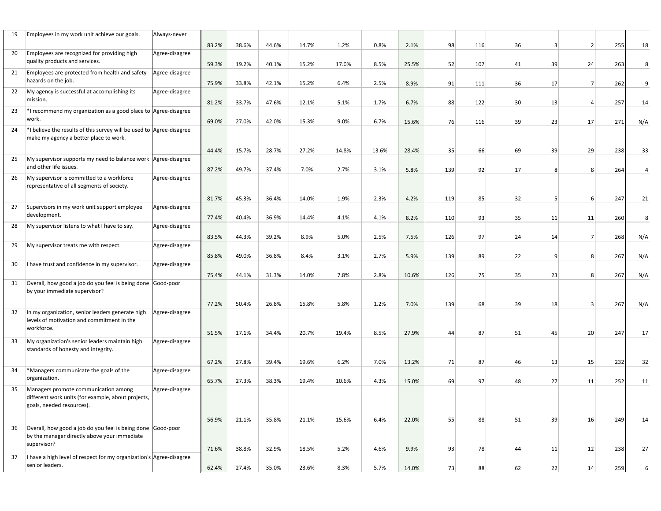| 19 | Employees in my work unit achieve our goals.                                                                            | Always-never   | 83.2% | 38.6% | 44.6% | 14.7% | 1.2%  | 0.8%  | 2.1%  | 98  | 116 | 36 |    | $\overline{\phantom{a}}$ | 255 | 18  |
|----|-------------------------------------------------------------------------------------------------------------------------|----------------|-------|-------|-------|-------|-------|-------|-------|-----|-----|----|----|--------------------------|-----|-----|
| 20 | Employees are recognized for providing high                                                                             | Agree-disagree |       |       |       |       |       |       |       |     |     |    |    |                          |     |     |
|    | quality products and services.                                                                                          |                | 59.3% | 19.2% | 40.1% | 15.2% | 17.0% | 8.5%  | 25.5% | 52  | 107 | 41 | 39 | 24                       | 263 | 8   |
| 21 | Employees are protected from health and safety<br>hazards on the job.                                                   | Agree-disagree | 75.9% | 33.8% | 42.1% | 15.2% | 6.4%  | 2.5%  | 8.9%  | 91  | 111 | 36 | 17 | 7                        | 262 | 9   |
| 22 | My agency is successful at accomplishing its<br>mission.                                                                | Agree-disagree | 81.2% | 33.7% | 47.6% | 12.1% | 5.1%  | 1.7%  | 6.7%  | 88  | 122 | 30 | 13 |                          | 257 | 14  |
| 23 | *I recommend my organization as a good place to Agree-disagree<br>work.                                                 |                |       |       |       |       |       |       |       |     |     |    |    |                          |     |     |
| 24 | *I believe the results of this survey will be used to Agree-disagree                                                    |                | 69.0% | 27.0% | 42.0% | 15.3% | 9.0%  | 6.7%  | 15.6% | 76  | 116 | 39 | 23 | 17                       | 271 | N/A |
|    | make my agency a better place to work.                                                                                  |                | 44.4% | 15.7% | 28.7% | 27.2% | 14.8% | 13.6% | 28.4% | 35  | 66  | 69 | 39 | 29                       | 238 | 33  |
| 25 | My supervisor supports my need to balance work Agree-disagree                                                           |                |       |       |       |       |       |       |       |     |     |    |    |                          |     |     |
|    | and other life issues.                                                                                                  |                | 87.2% | 49.7% | 37.4% | 7.0%  | 2.7%  | 3.1%  | 5.8%  | 139 | 92  | 17 |    | 8                        | 264 |     |
| 26 | My supervisor is committed to a workforce<br>representative of all segments of society.                                 | Agree-disagree |       |       |       |       |       |       |       |     |     |    |    |                          |     |     |
|    |                                                                                                                         |                | 81.7% | 45.3% | 36.4% | 14.0% | 1.9%  | 2.3%  | 4.2%  | 119 | 85  | 32 |    | 6                        | 247 | 21  |
| 27 | Supervisors in my work unit support employee                                                                            | Agree-disagree |       |       |       |       |       |       |       |     |     |    |    |                          |     |     |
|    | development.                                                                                                            |                | 77.4% | 40.4% | 36.9% | 14.4% | 4.1%  | 4.1%  | 8.2%  | 110 | 93  | 35 | 11 | 11                       | 260 | 8   |
| 28 | My supervisor listens to what I have to say.                                                                            | Agree-disagree |       |       |       |       |       |       |       |     |     |    |    |                          |     |     |
|    |                                                                                                                         |                |       |       |       |       |       |       |       |     |     |    |    |                          |     |     |
|    |                                                                                                                         |                | 83.5% | 44.3% | 39.2% | 8.9%  | 5.0%  | 2.5%  | 7.5%  | 126 | 97  | 24 | 14 |                          | 268 | N/A |
| 29 | My supervisor treats me with respect.                                                                                   | Agree-disagree |       |       |       |       |       |       |       |     |     |    |    |                          |     |     |
|    |                                                                                                                         |                | 85.8% | 49.0% | 36.8% | 8.4%  | 3.1%  | 2.7%  | 5.9%  | 139 | 89  | 22 | q  | 8                        | 267 | N/A |
| 30 | I have trust and confidence in my supervisor.                                                                           | Agree-disagree |       |       |       |       |       |       |       |     |     |    |    |                          |     |     |
|    |                                                                                                                         |                | 75.4% | 44.1% | 31.3% | 14.0% | 7.8%  | 2.8%  | 10.6% | 126 | 751 | 35 | 23 | -81                      | 267 | N/A |
| 31 | Overall, how good a job do you feel is being done Good-poor<br>by your immediate supervisor?                            |                |       |       |       |       |       |       |       |     |     |    |    |                          |     |     |
|    |                                                                                                                         |                | 77.2% | 50.4% | 26.8% | 15.8% | 5.8%  | 1.2%  | 7.0%  | 139 | 68  | 39 | 18 |                          | 267 | N/A |
| 32 | In my organization, senior leaders generate high<br>levels of motivation and commitment in the                          | Agree-disagree |       |       |       |       |       |       |       |     |     |    |    |                          |     |     |
|    | workforce.                                                                                                              |                | 51.5% | 17.1% | 34.4% | 20.7% | 19.4% | 8.5%  | 27.9% | 44  | 87  | 51 | 45 | 20                       | 247 | 17  |
| 33 | My organization's senior leaders maintain high<br>standards of honesty and integrity.                                   | Agree-disagree |       |       |       |       |       |       |       |     |     |    |    |                          |     |     |
|    |                                                                                                                         |                | 67.2% | 27.8% | 39.4% | 19.6% | 6.2%  | 7.0%  | 13.2% | 71  | 87  | 46 | 13 | 15                       | 232 | 32  |
| 34 | *Managers communicate the goals of the<br>organization.                                                                 | Agree-disagree | 65.7% | 27.3% | 38.3% | 19.4% | 10.6% | 4.3%  | 15.0% | 69  | 97  | 48 | 27 | 11                       | 252 | 11  |
| 35 | Managers promote communication among<br>different work units (for example, about projects,<br>goals, needed resources). | Agree-disagree |       |       |       |       |       |       |       |     |     |    |    |                          |     |     |
|    |                                                                                                                         |                | 56.9% | 21.1% | 35.8% | 21.1% | 15.6% | 6.4%  | 22.0% | 55  | 88  | 51 | 39 | 16                       | 249 | 14  |
| 36 | Overall, how good a job do you feel is being done Good-poor<br>by the manager directly above your immediate             |                |       |       |       |       |       |       |       |     |     |    |    |                          |     |     |
|    | supervisor?                                                                                                             |                | 71.6% | 38.8% | 32.9% | 18.5% | 5.2%  | 4.6%  | 9.9%  | 93  | 78  | 44 | 11 | 12                       | 238 | 27  |
| 37 | I have a high level of respect for my organization's Agree-disagree<br>senior leaders.                                  |                | 62.4% | 27.4% | 35.0% | 23.6% | 8.3%  | 5.7%  | 14.0% | 73  | 88  |    |    |                          |     |     |
|    |                                                                                                                         |                |       |       |       |       |       |       |       |     |     | 62 | 22 | 14                       | 259 |     |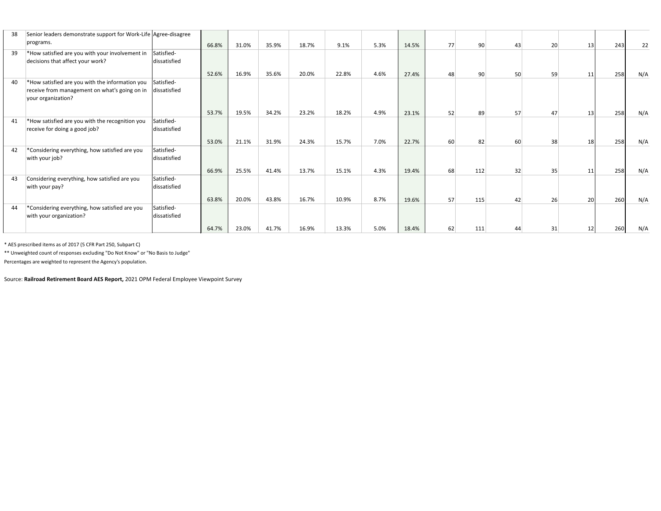| 38 | Senior leaders demonstrate support for Work-Life Agree-disagree                                                                      |              |       |       |       |       |      |       |    |                 |    |    |    |     |     |
|----|--------------------------------------------------------------------------------------------------------------------------------------|--------------|-------|-------|-------|-------|------|-------|----|-----------------|----|----|----|-----|-----|
|    | programs.                                                                                                                            | 66.8%        | 31.0% | 35.9% | 18.7% | 9.1%  | 5.3% | 14.5% | 77 | 90 <sup>°</sup> | 43 | 20 | 13 | 243 | 22  |
| 39 | *How satisfied are you with your involvement in<br>Satisfied-<br>decisions that affect your work?                                    | dissatisfied |       |       |       |       |      |       |    |                 |    |    |    |     |     |
|    |                                                                                                                                      | 52.6%        | 16.9% | 35.6% | 20.0% | 22.8% | 4.6% | 27.4% | 48 | 90 <sup>°</sup> | 50 | 59 | 11 | 258 | N/A |
| 40 | *How satisfied are you with the information you<br>Satisfied-<br>receive from management on what's going on in<br>your organization? | dissatisfied |       |       |       |       |      |       |    |                 |    |    |    |     |     |
|    |                                                                                                                                      | 53.7%        | 19.5% | 34.2% | 23.2% | 18.2% | 4.9% | 23.1% | 52 | 89              | 57 | 47 | 13 | 258 | N/A |
| 41 | *How satisfied are you with the recognition you<br>Satisfied-<br>receive for doing a good job?                                       | dissatisfied |       |       |       |       |      |       |    |                 |    |    |    |     |     |
|    |                                                                                                                                      | 53.0%        | 21.1% | 31.9% | 24.3% | 15.7% | 7.0% | 22.7% | 60 | 82              | 60 | 38 | 18 | 258 | N/A |
| 42 | *Considering everything, how satisfied are you<br>Satisfied-<br>with your job?                                                       | dissatisfied |       |       |       |       |      |       |    |                 |    |    |    |     |     |
|    |                                                                                                                                      | 66.9%        | 25.5% | 41.4% | 13.7% | 15.1% | 4.3% | 19.4% | 68 | 112             | 32 | 35 | 11 | 258 | N/A |
| 43 | Considering everything, how satisfied are you<br>Satisfied-<br>with your pay?                                                        | dissatisfied |       |       |       |       |      |       |    |                 |    |    |    |     |     |
|    |                                                                                                                                      | 63.8%        | 20.0% | 43.8% | 16.7% | 10.9% | 8.7% | 19.6% | 57 | 115             | 42 | 26 | 20 | 260 | N/A |
| 44 | *Considering everything, how satisfied are you<br>Satisfied-<br>with your organization?                                              | dissatisfied |       |       |       |       |      |       |    |                 |    |    |    |     |     |
|    |                                                                                                                                      | 64.7%        | 23.0% | 41.7% | 16.9% | 13.3% | 5.0% | 18.4% | 62 | 111             |    | 31 |    | 260 | N/A |

\* AES prescribed items as of 2017 (5 CFR Part 250, Subpart C)

\*\* Unweighted count of responses excluding "Do Not Know" or "No Basis to Judge"

Percentages are weighted to represent the Agency's population.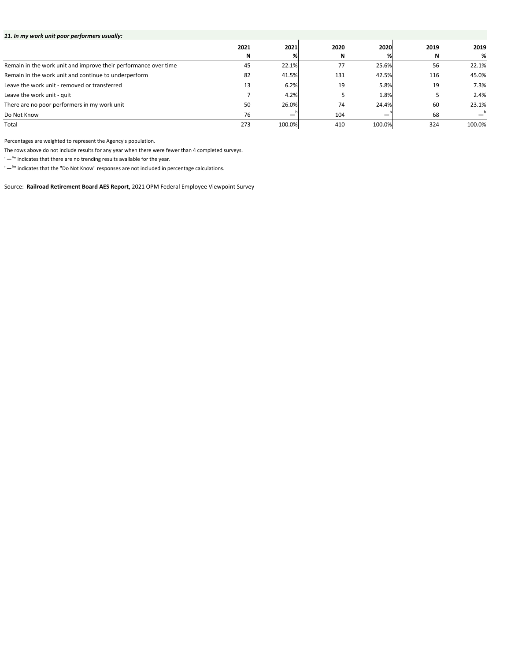| 11. In my work unit poor performers usually:                    |      |        |      |        |      |        |
|-----------------------------------------------------------------|------|--------|------|--------|------|--------|
|                                                                 | 2021 | 2021   | 2020 | 2020   | 2019 | 2019   |
|                                                                 | N    | %l     | N    |        | N    | %      |
| Remain in the work unit and improve their performance over time | 45   | 22.1%  | 77   | 25.6%  | 56   | 22.1%  |
| Remain in the work unit and continue to underperform            | 82   | 41.5%  | 131  | 42.5%  | 116  | 45.0%  |
| Leave the work unit - removed or transferred                    | 13   | 6.2%   | 19   | 5.8%   | 19   | 7.3%   |
| Leave the work unit - quit                                      |      | 4.2%   |      | 1.8%   |      | 2.4%   |
| There are no poor performers in my work unit                    | 50   | 26.0%  | 74   | 24.4%  | 60   | 23.1%  |
| Do Not Know                                                     | 76   |        | 104  |        | 68   |        |
| Total                                                           | 273  | 100.0% | 410  | 100.0% | 324  | 100.0% |

Source: **Railroad Retirement Board AES Report,** 2021 OPM Federal Employee Viewpoint Survey

Percentages are weighted to represent the Agency's population.

The rows above do not include results for any year when there were fewer than 4 completed surveys.

"-<sup>a</sup>" indicates that there are no trending results available for the year.

"—<sup>b</sup>" indicates that the "Do Not Know" responses are not included in percentage calculations.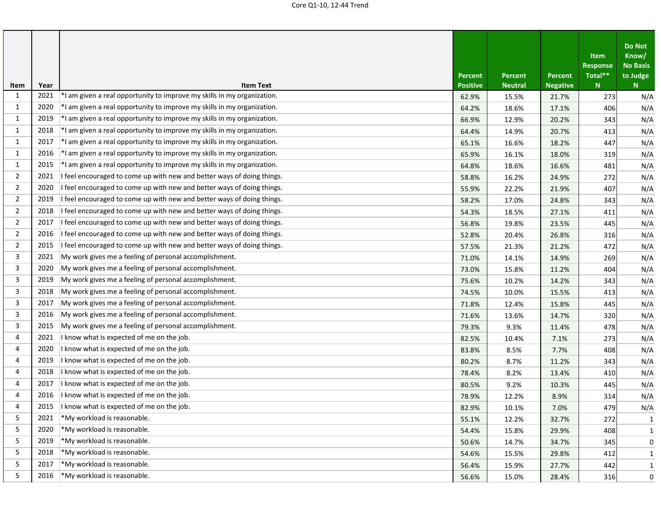| Item           | Year | <b>Item Text</b>                                                        | <b>Percent</b><br><b>Positive</b> | <b>Percent</b><br><b>Neutral</b> | <b>Percent</b><br><b>Negative</b> | Item<br><b>Response</b><br>Total**<br>N | <b>Do Not</b><br>Know/<br><b>No Basis</b><br>to Judge<br>$N_{\odot}$ |
|----------------|------|-------------------------------------------------------------------------|-----------------------------------|----------------------------------|-----------------------------------|-----------------------------------------|----------------------------------------------------------------------|
| 1              | 2021 | *I am given a real opportunity to improve my skills in my organization. | 62.9%                             | 15.5%                            | 21.7%                             | 273                                     | N/A                                                                  |
| 1              | 2020 | *I am given a real opportunity to improve my skills in my organization. | 64.2%                             | 18.6%                            | 17.1%                             | 406                                     | N/A                                                                  |
| 1              | 2019 | *I am given a real opportunity to improve my skills in my organization. | 66.9%                             | 12.9%                            | 20.2%                             | 343                                     | N/A                                                                  |
| $\mathbf{1}$   | 2018 | *I am given a real opportunity to improve my skills in my organization. | 64.4%                             | 14.9%                            | 20.7%                             | 413                                     | N/A                                                                  |
| 1              | 2017 | *I am given a real opportunity to improve my skills in my organization. | 65.1%                             | 16.6%                            | 18.2%                             | 447                                     | N/A                                                                  |
| $\mathbf{1}$   | 2016 | *I am given a real opportunity to improve my skills in my organization. | 65.9%                             | 16.1%                            | 18.0%                             | 319                                     | N/A                                                                  |
| 1              | 2015 | *I am given a real opportunity to improve my skills in my organization. | 64.8%                             | 18.6%                            | 16.6%                             | 481                                     | N/A                                                                  |
| 2              | 2021 | I feel encouraged to come up with new and better ways of doing things.  | 58.8%                             | 16.2%                            | 24.9%                             | 272                                     | N/A                                                                  |
| $\overline{2}$ | 2020 | I feel encouraged to come up with new and better ways of doing things.  | 55.9%                             | 22.2%                            | 21.9%                             | 407                                     | N/A                                                                  |
| $\overline{2}$ | 2019 | I feel encouraged to come up with new and better ways of doing things.  | 58.2%                             | 17.0%                            | 24.8%                             | 343                                     | N/A                                                                  |
| $\overline{2}$ | 2018 | feel encouraged to come up with new and better ways of doing things.    | 54.3%                             | 18.5%                            | 27.1%                             | 411                                     | N/A                                                                  |
| $\overline{2}$ | 2017 | feel encouraged to come up with new and better ways of doing things.    | 56.8%                             | 19.8%                            | 23.5%                             | 445                                     | N/A                                                                  |
| $\overline{2}$ | 2016 | feel encouraged to come up with new and better ways of doing things.    | 52.8%                             | 20.4%                            | 26.8%                             | 316                                     | N/A                                                                  |
| $\overline{2}$ | 2015 | feel encouraged to come up with new and better ways of doing things.    | 57.5%                             | 21.3%                            | 21.2%                             | 472                                     | N/A                                                                  |
| 3              | 2021 | My work gives me a feeling of personal accomplishment.                  | 71.0%                             | 14.1%                            | 14.9%                             | 269                                     | N/A                                                                  |
| 3              | 2020 | My work gives me a feeling of personal accomplishment.                  | 73.0%                             | 15.8%                            | 11.2%                             | 404                                     | N/A                                                                  |
| 3              | 2019 | My work gives me a feeling of personal accomplishment.                  | 75.6%                             | 10.2%                            | 14.2%                             | 343                                     | N/A                                                                  |
| 3              | 2018 | My work gives me a feeling of personal accomplishment.                  | 74.5%                             | 10.0%                            | 15.5%                             | 413                                     | N/A                                                                  |
| 3              | 2017 | My work gives me a feeling of personal accomplishment.                  | 71.8%                             | 12.4%                            | 15.8%                             | 445                                     | N/A                                                                  |
| 3              | 2016 | My work gives me a feeling of personal accomplishment.                  | 71.6%                             | 13.6%                            | 14.7%                             | 320                                     | N/A                                                                  |
| 3              | 2015 | My work gives me a feeling of personal accomplishment.                  | 79.3%                             | 9.3%                             | 11.4%                             | 478                                     | N/A                                                                  |
| 4              | 2021 | I know what is expected of me on the job.                               | 82.5%                             | 10.4%                            | 7.1%                              | 273                                     | N/A                                                                  |
| 4              | 2020 | I know what is expected of me on the job.                               | 83.8%                             | 8.5%                             | 7.7%                              | 408                                     | N/A                                                                  |
| 4              | 2019 | I know what is expected of me on the job.                               | 80.2%                             | 8.7%                             | 11.2%                             | 343                                     | N/A                                                                  |
| 4              | 2018 | I know what is expected of me on the job.                               | 78.4%                             | 8.2%                             | 13.4%                             | 410                                     | N/A                                                                  |
| 4              | 2017 | I know what is expected of me on the job.                               | 80.5%                             | 9.2%                             | 10.3%                             | 445                                     | N/A                                                                  |
| 4              | 2016 | I know what is expected of me on the job.                               | 78.9%                             | 12.2%                            | 8.9%                              | 314                                     | N/A                                                                  |
| 4              | 2015 | I know what is expected of me on the job.                               | 82.9%                             | 10.1%                            | 7.0%                              | 479                                     | N/A                                                                  |
| 5              | 2021 | *My workload is reasonable.                                             | 55.1%                             | 12.2%                            | 32.7%                             | 272                                     | 1                                                                    |
| 5              | 2020 | *My workload is reasonable.                                             | 54.4%                             | 15.8%                            | 29.9%                             | 408                                     | 1                                                                    |
| 5              | 2019 | *My workload is reasonable.                                             | 50.6%                             | 14.7%                            | 34.7%                             | 345                                     | 0                                                                    |
| 5              | 2018 | *My workload is reasonable.                                             | 54.6%                             | 15.5%                            | 29.8%                             | 412                                     | 1                                                                    |
| 5              | 2017 | *My workload is reasonable.                                             | 56.4%                             | 15.9%                            | 27.7%                             | 442                                     | $\mathbf{1}$                                                         |
| 5              | 2016 | *My workload is reasonable.                                             | 56.6%                             | 15.0%                            | 28.4%                             | 316                                     | 0                                                                    |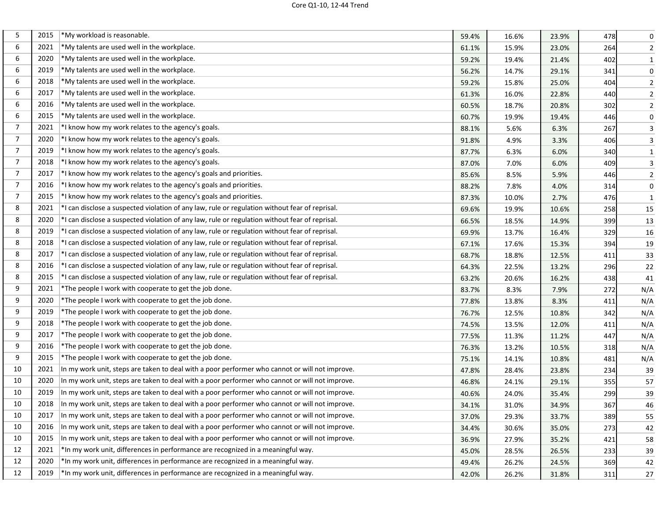| 5              | 2015 | *My workload is reasonable.                                                                    | 59.4% | 16.6% | 23.9% | 478 | 0              |
|----------------|------|------------------------------------------------------------------------------------------------|-------|-------|-------|-----|----------------|
| 6              | 2021 | *My talents are used well in the workplace.                                                    | 61.1% | 15.9% | 23.0% | 264 | $\overline{2}$ |
| 6              | 2020 | *My talents are used well in the workplace.                                                    | 59.2% | 19.4% | 21.4% | 402 | $\mathbf{1}$   |
| 6              | 2019 | *My talents are used well in the workplace.                                                    | 56.2% | 14.7% | 29.1% | 341 | $\pmb{0}$      |
| 6              | 2018 | *My talents are used well in the workplace.                                                    | 59.2% | 15.8% | 25.0% | 404 | $\overline{2}$ |
| 6              | 2017 | *My talents are used well in the workplace.                                                    | 61.3% | 16.0% | 22.8% | 440 | $\overline{2}$ |
| 6              | 2016 | *My talents are used well in the workplace.                                                    | 60.5% | 18.7% | 20.8% | 302 | $\overline{2}$ |
| 6              | 2015 | *My talents are used well in the workplace.                                                    | 60.7% | 19.9% | 19.4% | 446 | $\pmb{0}$      |
| 7              | 2021 | *I know how my work relates to the agency's goals.                                             | 88.1% | 5.6%  | 6.3%  | 267 | $\mathsf{3}$   |
| $\overline{7}$ | 2020 | *I know how my work relates to the agency's goals.                                             | 91.8% | 4.9%  | 3.3%  | 406 | 3              |
| $\overline{7}$ | 2019 | *I know how my work relates to the agency's goals.                                             | 87.7% | 6.3%  | 6.0%  | 340 | $\mathbf{1}$   |
| $\overline{7}$ | 2018 | *I know how my work relates to the agency's goals.                                             | 87.0% | 7.0%  | 6.0%  | 409 | $\mathbf{3}$   |
| 7              | 2017 | *I know how my work relates to the agency's goals and priorities.                              | 85.6% | 8.5%  | 5.9%  | 446 | $\overline{2}$ |
| $\overline{7}$ | 2016 | *I know how my work relates to the agency's goals and priorities.                              | 88.2% | 7.8%  | 4.0%  | 314 | $\mathbf 0$    |
| 7              | 2015 | *I know how my work relates to the agency's goals and priorities.                              | 87.3% | 10.0% | 2.7%  | 476 | $\mathbf{1}$   |
| 8              | 2021 | *I can disclose a suspected violation of any law, rule or regulation without fear of reprisal. | 69.6% | 19.9% | 10.6% | 258 | 15             |
| 8              | 2020 | *I can disclose a suspected violation of any law, rule or regulation without fear of reprisal. | 66.5% | 18.5% | 14.9% | 399 | 13             |
| 8              | 2019 | *I can disclose a suspected violation of any law, rule or regulation without fear of reprisal. | 69.9% | 13.7% | 16.4% | 329 | 16             |
| 8              | 2018 | *I can disclose a suspected violation of any law, rule or regulation without fear of reprisal. | 67.1% | 17.6% | 15.3% | 394 | 19             |
| 8              | 2017 | *I can disclose a suspected violation of any law, rule or regulation without fear of reprisal. | 68.7% | 18.8% | 12.5% | 411 | 33             |
| 8              | 2016 | *I can disclose a suspected violation of any law, rule or regulation without fear of reprisal. | 64.3% | 22.5% | 13.2% | 296 | 22             |
| 8              | 2015 | *I can disclose a suspected violation of any law, rule or regulation without fear of reprisal. | 63.2% | 20.6% | 16.2% | 438 | 41             |
| 9              | 2021 | *The people I work with cooperate to get the job done.                                         | 83.7% | 8.3%  | 7.9%  | 272 | N/A            |
| 9              | 2020 | *The people I work with cooperate to get the job done.                                         | 77.8% | 13.8% | 8.3%  | 411 | N/A            |
| 9              | 2019 | *The people I work with cooperate to get the job done.                                         | 76.7% | 12.5% | 10.8% | 342 | N/A            |
| 9              | 2018 | *The people I work with cooperate to get the job done.                                         | 74.5% | 13.5% | 12.0% | 411 | N/A            |
| 9              | 2017 | *The people I work with cooperate to get the job done.                                         | 77.5% | 11.3% | 11.2% | 447 | N/A            |
| 9              | 2016 | *The people I work with cooperate to get the job done.                                         | 76.3% | 13.2% | 10.5% | 318 | N/A            |
| 9              | 2015 | *The people I work with cooperate to get the job done.                                         | 75.1% | 14.1% | 10.8% | 481 | N/A            |
| 10             | 2021 | In my work unit, steps are taken to deal with a poor performer who cannot or will not improve. | 47.8% | 28.4% | 23.8% | 234 | 39             |
| 10             | 2020 | In my work unit, steps are taken to deal with a poor performer who cannot or will not improve. | 46.8% | 24.1% | 29.1% | 355 | 57             |
| 10             | 2019 | In my work unit, steps are taken to deal with a poor performer who cannot or will not improve. | 40.6% | 24.0% | 35.4% | 299 | 39             |
| 10             | 2018 | In my work unit, steps are taken to deal with a poor performer who cannot or will not improve. | 34.1% | 31.0% | 34.9% | 367 | 46             |
| 10             | 2017 | In my work unit, steps are taken to deal with a poor performer who cannot or will not improve. | 37.0% | 29.3% | 33.7% | 389 | 55             |
| 10             | 2016 | In my work unit, steps are taken to deal with a poor performer who cannot or will not improve. | 34.4% | 30.6% | 35.0% | 273 | 42             |
| 10             | 2015 | In my work unit, steps are taken to deal with a poor performer who cannot or will not improve. | 36.9% | 27.9% | 35.2% | 421 | 58             |
| 12             | 2021 | *In my work unit, differences in performance are recognized in a meaningful way.               | 45.0% | 28.5% | 26.5% | 233 | 39             |
| 12             | 2020 | *In my work unit, differences in performance are recognized in a meaningful way.               | 49.4% | 26.2% | 24.5% | 369 | 42             |
| 12             | 2019 | *In my work unit, differences in performance are recognized in a meaningful way.               | 42.0% | 26.2% | 31.8% | 311 | 27             |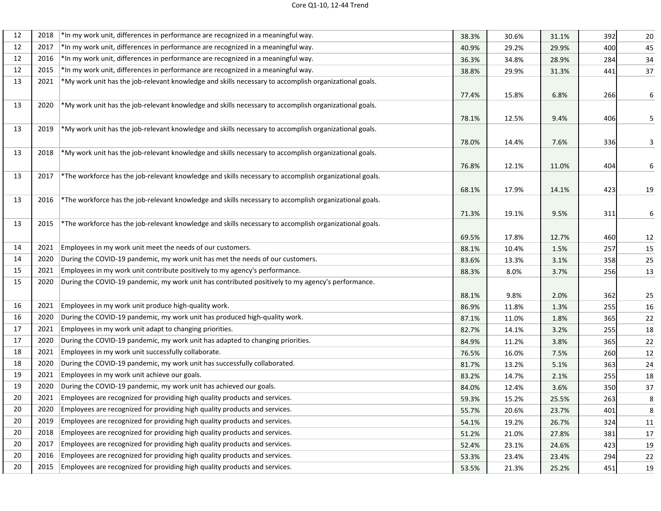| 12 | 2018 | *In my work unit, differences in performance are recognized in a meaningful way.                         | 38.3% | 30.6% | 31.1% | 392 | 20 |
|----|------|----------------------------------------------------------------------------------------------------------|-------|-------|-------|-----|----|
| 12 | 2017 | *In my work unit, differences in performance are recognized in a meaningful way.                         | 40.9% | 29.2% | 29.9% | 400 | 45 |
| 12 | 2016 | *In my work unit, differences in performance are recognized in a meaningful way.                         | 36.3% | 34.8% | 28.9% | 284 | 34 |
| 12 | 2015 | *In my work unit, differences in performance are recognized in a meaningful way.                         | 38.8% | 29.9% | 31.3% | 441 | 37 |
| 13 | 2021 | *My work unit has the job-relevant knowledge and skills necessary to accomplish organizational goals.    |       |       |       |     |    |
|    |      |                                                                                                          | 77.4% | 15.8% | 6.8%  | 266 | 6  |
| 13 | 2020 | *My work unit has the job-relevant knowledge and skills necessary to accomplish organizational goals.    |       |       |       |     |    |
|    |      |                                                                                                          | 78.1% | 12.5% | 9.4%  | 406 | 5  |
| 13 | 2019 | $*$ My work unit has the job-relevant knowledge and skills necessary to accomplish organizational goals. |       |       |       |     |    |
|    |      |                                                                                                          | 78.0% | 14.4% | 7.6%  | 336 | 3  |
| 13 | 2018 | $*$ My work unit has the job-relevant knowledge and skills necessary to accomplish organizational goals. |       |       |       |     |    |
|    |      |                                                                                                          | 76.8% | 12.1% | 11.0% | 404 | 6  |
| 13 | 2017 | *The workforce has the job-relevant knowledge and skills necessary to accomplish organizational goals.   |       |       |       |     |    |
|    |      |                                                                                                          | 68.1% | 17.9% | 14.1% | 423 | 19 |
| 13 | 2016 | *The workforce has the job-relevant knowledge and skills necessary to accomplish organizational goals.   |       |       |       |     |    |
|    |      |                                                                                                          | 71.3% | 19.1% | 9.5%  | 311 | 6  |
| 13 | 2015 | *The workforce has the job-relevant knowledge and skills necessary to accomplish organizational goals.   |       |       |       |     |    |
|    |      |                                                                                                          | 69.5% | 17.8% | 12.7% | 460 | 12 |
| 14 | 2021 | Employees in my work unit meet the needs of our customers.                                               | 88.1% | 10.4% | 1.5%  | 257 | 15 |
| 14 | 2020 | During the COVID-19 pandemic, my work unit has met the needs of our customers.                           | 83.6% | 13.3% | 3.1%  | 358 | 25 |
| 15 | 2021 | Employees in my work unit contribute positively to my agency's performance.                              | 88.3% | 8.0%  | 3.7%  | 256 | 13 |
| 15 | 2020 | During the COVID-19 pandemic, my work unit has contributed positively to my agency's performance.        |       |       |       |     |    |
|    |      |                                                                                                          | 88.1% | 9.8%  | 2.0%  | 362 | 25 |
| 16 | 2021 | Employees in my work unit produce high-quality work.                                                     | 86.9% | 11.8% | 1.3%  | 255 | 16 |
| 16 | 2020 | During the COVID-19 pandemic, my work unit has produced high-quality work.                               | 87.1% | 11.0% | 1.8%  | 365 | 22 |
| 17 | 2021 | Employees in my work unit adapt to changing priorities.                                                  | 82.7% | 14.1% | 3.2%  | 255 | 18 |
| 17 |      | 2020 During the COVID-19 pandemic, my work unit has adapted to changing priorities.                      | 84.9% | 11.2% | 3.8%  | 365 | 22 |
| 18 | 2021 | Employees in my work unit successfully collaborate.                                                      | 76.5% | 16.0% | 7.5%  | 260 | 12 |
| 18 | 2020 | During the COVID-19 pandemic, my work unit has successfully collaborated.                                | 81.7% | 13.2% | 5.1%  | 363 | 24 |
| 19 | 2021 | Employees in my work unit achieve our goals.                                                             | 83.2% | 14.7% | 2.1%  | 255 | 18 |
| 19 | 2020 | During the COVID-19 pandemic, my work unit has achieved our goals.                                       | 84.0% | 12.4% | 3.6%  | 350 | 37 |
| 20 | 2021 | Employees are recognized for providing high quality products and services.                               | 59.3% | 15.2% | 25.5% | 263 | 8  |
| 20 | 2020 | Employees are recognized for providing high quality products and services.                               | 55.7% | 20.6% | 23.7% | 401 | 8  |
| 20 | 2019 | Employees are recognized for providing high quality products and services.                               | 54.1% | 19.2% | 26.7% | 324 | 11 |
| 20 | 2018 | Employees are recognized for providing high quality products and services.                               | 51.2% | 21.0% | 27.8% | 381 | 17 |
| 20 | 2017 | Employees are recognized for providing high quality products and services.                               | 52.4% | 23.1% | 24.6% | 423 | 19 |
| 20 | 2016 | Employees are recognized for providing high quality products and services.                               | 53.3% | 23.4% | 23.4% | 294 | 22 |
| 20 | 2015 | Employees are recognized for providing high quality products and services.                               | 53.5% | 21.3% | 25.2% | 451 | 19 |
|    |      |                                                                                                          |       |       |       |     |    |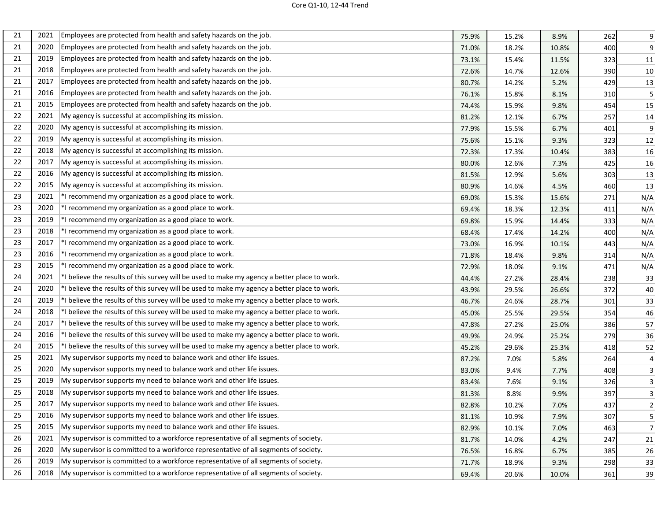| 21 | 2021 | Employees are protected from health and safety hazards on the job.                           | 75.9% | 15.2% | 8.9%  | 262 | 9              |
|----|------|----------------------------------------------------------------------------------------------|-------|-------|-------|-----|----------------|
| 21 | 2020 | Employees are protected from health and safety hazards on the job.                           | 71.0% | 18.2% | 10.8% | 400 | 9              |
| 21 | 2019 | Employees are protected from health and safety hazards on the job.                           | 73.1% | 15.4% | 11.5% | 323 | 11             |
| 21 | 2018 | Employees are protected from health and safety hazards on the job.                           | 72.6% | 14.7% | 12.6% | 390 | 10             |
| 21 | 2017 | Employees are protected from health and safety hazards on the job.                           | 80.7% | 14.2% | 5.2%  | 429 | 13             |
| 21 | 2016 | Employees are protected from health and safety hazards on the job.                           | 76.1% | 15.8% | 8.1%  | 310 | 5              |
| 21 | 2015 | Employees are protected from health and safety hazards on the job.                           | 74.4% | 15.9% | 9.8%  | 454 | 15             |
| 22 | 2021 | My agency is successful at accomplishing its mission.                                        | 81.2% | 12.1% | 6.7%  | 257 | 14             |
| 22 | 2020 | My agency is successful at accomplishing its mission.                                        | 77.9% | 15.5% | 6.7%  | 401 | 9              |
| 22 | 2019 | My agency is successful at accomplishing its mission.                                        | 75.6% | 15.1% | 9.3%  | 323 | 12             |
| 22 | 2018 | My agency is successful at accomplishing its mission.                                        | 72.3% | 17.3% | 10.4% | 383 | 16             |
| 22 | 2017 | My agency is successful at accomplishing its mission.                                        | 80.0% | 12.6% | 7.3%  | 425 | 16             |
| 22 | 2016 | My agency is successful at accomplishing its mission.                                        | 81.5% | 12.9% | 5.6%  | 303 | 13             |
| 22 | 2015 | My agency is successful at accomplishing its mission.                                        | 80.9% | 14.6% | 4.5%  | 460 | 13             |
| 23 | 2021 | *I recommend my organization as a good place to work.                                        | 69.0% | 15.3% | 15.6% | 271 | N/A            |
| 23 | 2020 | *I recommend my organization as a good place to work.                                        | 69.4% | 18.3% | 12.3% | 411 | N/A            |
| 23 | 2019 | *I recommend my organization as a good place to work.                                        | 69.8% | 15.9% | 14.4% | 333 | N/A            |
| 23 | 2018 | *I recommend my organization as a good place to work.                                        | 68.4% | 17.4% | 14.2% | 400 | N/A            |
| 23 | 2017 | *I recommend my organization as a good place to work.                                        | 73.0% | 16.9% | 10.1% | 443 | N/A            |
| 23 | 2016 | *I recommend my organization as a good place to work.                                        | 71.8% | 18.4% | 9.8%  | 314 | N/A            |
| 23 | 2015 | *I recommend my organization as a good place to work.                                        | 72.9% | 18.0% | 9.1%  | 471 | N/A            |
| 24 | 2021 | *I believe the results of this survey will be used to make my agency a better place to work. | 44.4% | 27.2% | 28.4% | 238 | 33             |
| 24 | 2020 | *I believe the results of this survey will be used to make my agency a better place to work. | 43.9% | 29.5% | 26.6% | 372 | 40             |
| 24 | 2019 | *I believe the results of this survey will be used to make my agency a better place to work. | 46.7% | 24.6% | 28.7% | 301 | 33             |
| 24 | 2018 | *I believe the results of this survey will be used to make my agency a better place to work. | 45.0% | 25.5% | 29.5% | 354 | 46             |
| 24 | 2017 | *I believe the results of this survey will be used to make my agency a better place to work. | 47.8% | 27.2% | 25.0% | 386 | 57             |
| 24 | 2016 | *I believe the results of this survey will be used to make my agency a better place to work. | 49.9% | 24.9% | 25.2% | 279 | 36             |
| 24 | 2015 | *I believe the results of this survey will be used to make my agency a better place to work. | 45.2% | 29.6% | 25.3% | 418 | 52             |
| 25 | 2021 | My supervisor supports my need to balance work and other life issues.                        | 87.2% | 7.0%  | 5.8%  | 264 | 4              |
| 25 | 2020 | My supervisor supports my need to balance work and other life issues.                        | 83.0% | 9.4%  | 7.7%  | 408 | 3              |
| 25 | 2019 | My supervisor supports my need to balance work and other life issues.                        | 83.4% | 7.6%  | 9.1%  | 326 | 3              |
| 25 | 2018 | My supervisor supports my need to balance work and other life issues.                        | 81.3% | 8.8%  | 9.9%  | 397 | 3              |
| 25 | 2017 | My supervisor supports my need to balance work and other life issues.                        | 82.8% | 10.2% | 7.0%  | 437 | $\overline{2}$ |
| 25 | 2016 | My supervisor supports my need to balance work and other life issues.                        | 81.1% | 10.9% | 7.9%  | 307 | 5              |
| 25 | 2015 | My supervisor supports my need to balance work and other life issues.                        | 82.9% | 10.1% | 7.0%  | 463 | $\overline{7}$ |
| 26 | 2021 | My supervisor is committed to a workforce representative of all segments of society.         | 81.7% | 14.0% | 4.2%  | 247 | 21             |
| 26 | 2020 | My supervisor is committed to a workforce representative of all segments of society.         | 76.5% | 16.8% | 6.7%  | 385 | 26             |
| 26 | 2019 | My supervisor is committed to a workforce representative of all segments of society.         | 71.7% | 18.9% | 9.3%  | 298 | 33             |
| 26 | 2018 | My supervisor is committed to a workforce representative of all segments of society.         | 69.4% | 20.6% | 10.0% | 361 | 39             |
|    |      |                                                                                              |       |       |       |     |                |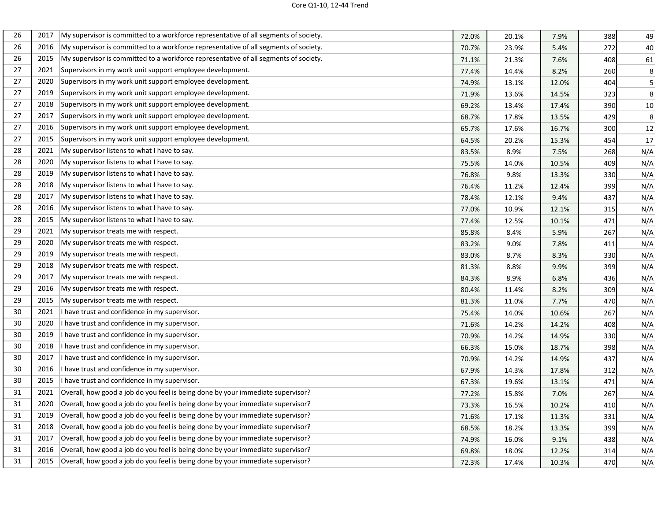| 26 | 2017 | My supervisor is committed to a workforce representative of all segments of society. | 72.0% | 20.1% | 7.9%  | 388 | 49      |
|----|------|--------------------------------------------------------------------------------------|-------|-------|-------|-----|---------|
| 26 | 2016 | My supervisor is committed to a workforce representative of all segments of society. | 70.7% | 23.9% | 5.4%  | 272 | 40      |
| 26 | 2015 | My supervisor is committed to a workforce representative of all segments of society. | 71.1% | 21.3% | 7.6%  | 408 | 61      |
| 27 | 2021 | Supervisors in my work unit support employee development.                            | 77.4% | 14.4% | 8.2%  | 260 | $\bf 8$ |
| 27 | 2020 | Supervisors in my work unit support employee development.                            | 74.9% | 13.1% | 12.0% | 404 | 5       |
| 27 | 2019 | Supervisors in my work unit support employee development.                            | 71.9% | 13.6% | 14.5% | 323 | 8       |
| 27 | 2018 | Supervisors in my work unit support employee development.                            | 69.2% | 13.4% | 17.4% | 390 | $10\,$  |
| 27 | 2017 | Supervisors in my work unit support employee development.                            | 68.7% | 17.8% | 13.5% | 429 | 8       |
| 27 | 2016 | Supervisors in my work unit support employee development.                            | 65.7% | 17.6% | 16.7% | 300 | 12      |
| 27 | 2015 | Supervisors in my work unit support employee development.                            | 64.5% | 20.2% | 15.3% | 454 | 17      |
| 28 | 2021 | My supervisor listens to what I have to say.                                         | 83.5% | 8.9%  | 7.5%  | 268 | N/A     |
| 28 | 2020 | My supervisor listens to what I have to say.                                         | 75.5% | 14.0% | 10.5% | 409 | N/A     |
| 28 | 2019 | My supervisor listens to what I have to say.                                         | 76.8% | 9.8%  | 13.3% | 330 | N/A     |
| 28 | 2018 | My supervisor listens to what I have to say.                                         | 76.4% | 11.2% | 12.4% | 399 | N/A     |
| 28 | 2017 | My supervisor listens to what I have to say.                                         | 78.4% | 12.1% | 9.4%  | 437 | N/A     |
| 28 | 2016 | My supervisor listens to what I have to say.                                         | 77.0% | 10.9% | 12.1% | 315 | N/A     |
| 28 | 2015 | My supervisor listens to what I have to say.                                         | 77.4% | 12.5% | 10.1% | 471 | N/A     |
| 29 | 2021 | My supervisor treats me with respect.                                                | 85.8% | 8.4%  | 5.9%  | 267 | N/A     |
| 29 | 2020 | My supervisor treats me with respect.                                                | 83.2% | 9.0%  | 7.8%  | 411 | N/A     |
| 29 | 2019 | My supervisor treats me with respect.                                                | 83.0% | 8.7%  | 8.3%  | 330 | N/A     |
| 29 | 2018 | My supervisor treats me with respect.                                                | 81.3% | 8.8%  | 9.9%  | 399 | N/A     |
| 29 | 2017 | My supervisor treats me with respect.                                                | 84.3% | 8.9%  | 6.8%  | 436 | N/A     |
| 29 | 2016 | My supervisor treats me with respect.                                                | 80.4% | 11.4% | 8.2%  | 309 | N/A     |
| 29 | 2015 | My supervisor treats me with respect.                                                | 81.3% | 11.0% | 7.7%  | 470 | N/A     |
| 30 | 2021 | I have trust and confidence in my supervisor.                                        | 75.4% | 14.0% | 10.6% | 267 | N/A     |
| 30 | 2020 | I have trust and confidence in my supervisor.                                        | 71.6% | 14.2% | 14.2% | 408 | N/A     |
| 30 | 2019 | I have trust and confidence in my supervisor.                                        | 70.9% | 14.2% | 14.9% | 330 | N/A     |
| 30 | 2018 | I have trust and confidence in my supervisor.                                        | 66.3% | 15.0% | 18.7% | 398 | N/A     |
| 30 | 2017 | I have trust and confidence in my supervisor.                                        | 70.9% | 14.2% | 14.9% | 437 | N/A     |
| 30 | 2016 | I have trust and confidence in my supervisor.                                        | 67.9% | 14.3% | 17.8% | 312 | N/A     |
| 30 | 2015 | I have trust and confidence in my supervisor.                                        | 67.3% | 19.6% | 13.1% | 471 | N/A     |
| 31 | 2021 | Overall, how good a job do you feel is being done by your immediate supervisor?      | 77.2% | 15.8% | 7.0%  | 267 | N/A     |
| 31 | 2020 | Overall, how good a job do you feel is being done by your immediate supervisor?      | 73.3% | 16.5% | 10.2% | 410 | N/A     |
| 31 | 2019 | Overall, how good a job do you feel is being done by your immediate supervisor?      | 71.6% | 17.1% | 11.3% | 331 | N/A     |
| 31 | 2018 | Overall, how good a job do you feel is being done by your immediate supervisor?      | 68.5% | 18.2% | 13.3% | 399 | N/A     |
| 31 | 2017 | Overall, how good a job do you feel is being done by your immediate supervisor?      | 74.9% | 16.0% | 9.1%  | 438 | N/A     |
| 31 | 2016 | Overall, how good a job do you feel is being done by your immediate supervisor?      | 69.8% | 18.0% | 12.2% | 314 | N/A     |
| 31 | 2015 | Overall, how good a job do you feel is being done by your immediate supervisor?      | 72.3% | 17.4% | 10.3% | 470 | N/A     |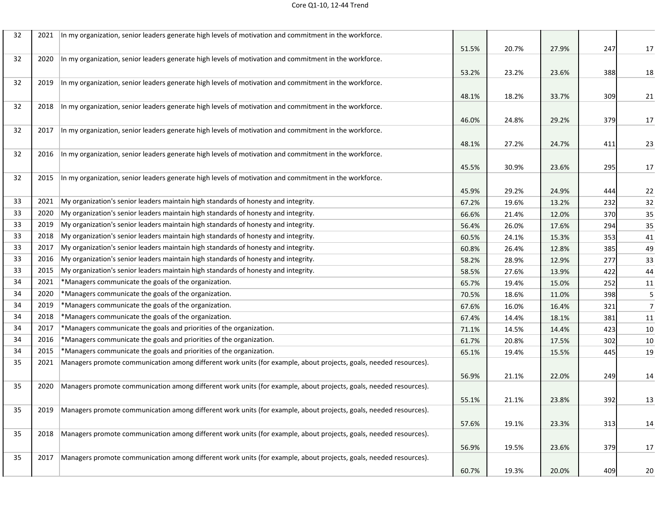| 32 | 2021 | In my organization, senior leaders generate high levels of motivation and commitment in the workforce.            |       |       |       |     |                |
|----|------|-------------------------------------------------------------------------------------------------------------------|-------|-------|-------|-----|----------------|
|    |      |                                                                                                                   | 51.5% | 20.7% | 27.9% | 247 | 17             |
| 32 | 2020 | In my organization, senior leaders generate high levels of motivation and commitment in the workforce.            |       |       |       |     |                |
|    |      |                                                                                                                   | 53.2% | 23.2% | 23.6% | 388 | 18             |
| 32 | 2019 | In my organization, senior leaders generate high levels of motivation and commitment in the workforce.            |       |       |       |     |                |
|    |      |                                                                                                                   | 48.1% | 18.2% | 33.7% | 309 | 21             |
| 32 | 2018 | In my organization, senior leaders generate high levels of motivation and commitment in the workforce.            |       |       |       |     |                |
|    |      |                                                                                                                   | 46.0% | 24.8% | 29.2% | 379 | 17             |
| 32 | 2017 | In my organization, senior leaders generate high levels of motivation and commitment in the workforce.            |       |       |       |     |                |
|    |      |                                                                                                                   | 48.1% | 27.2% | 24.7% | 411 | 23             |
| 32 | 2016 | In my organization, senior leaders generate high levels of motivation and commitment in the workforce.            |       |       |       |     |                |
|    |      |                                                                                                                   | 45.5% | 30.9% | 23.6% | 295 | 17             |
| 32 | 2015 | In my organization, senior leaders generate high levels of motivation and commitment in the workforce.            |       |       |       |     |                |
|    |      |                                                                                                                   | 45.9% | 29.2% | 24.9% | 444 | 22             |
| 33 | 2021 | My organization's senior leaders maintain high standards of honesty and integrity.                                | 67.2% | 19.6% | 13.2% | 232 | 32             |
| 33 | 2020 | My organization's senior leaders maintain high standards of honesty and integrity.                                | 66.6% | 21.4% | 12.0% | 370 | 35             |
| 33 | 2019 | My organization's senior leaders maintain high standards of honesty and integrity.                                | 56.4% | 26.0% | 17.6% | 294 | 35             |
| 33 | 2018 | My organization's senior leaders maintain high standards of honesty and integrity.                                | 60.5% | 24.1% | 15.3% | 353 | 41             |
| 33 | 2017 | My organization's senior leaders maintain high standards of honesty and integrity.                                | 60.8% | 26.4% | 12.8% | 385 | 49             |
| 33 | 2016 | My organization's senior leaders maintain high standards of honesty and integrity.                                | 58.2% | 28.9% | 12.9% | 277 | 33             |
| 33 | 2015 | My organization's senior leaders maintain high standards of honesty and integrity.                                | 58.5% | 27.6% | 13.9% | 422 | 44             |
| 34 | 2021 | *Managers communicate the goals of the organization.                                                              | 65.7% | 19.4% | 15.0% | 252 | 11             |
| 34 | 2020 | *Managers communicate the goals of the organization.                                                              | 70.5% | 18.6% | 11.0% | 398 | 5              |
| 34 | 2019 | *Managers communicate the goals of the organization.                                                              | 67.6% | 16.0% | 16.4% | 321 | $\overline{7}$ |
| 34 | 2018 | *Managers communicate the goals of the organization.                                                              | 67.4% | 14.4% | 18.1% | 381 | 11             |
| 34 | 2017 | *Managers communicate the goals and priorities of the organization.                                               | 71.1% | 14.5% | 14.4% | 423 | 10             |
| 34 | 2016 | *Managers communicate the goals and priorities of the organization.                                               | 61.7% | 20.8% | 17.5% | 302 | 10             |
| 34 | 2015 | *Managers communicate the goals and priorities of the organization.                                               | 65.1% | 19.4% | 15.5% | 445 | 19             |
| 35 | 2021 | Managers promote communication among different work units (for example, about projects, goals, needed resources). |       |       |       |     |                |
|    |      |                                                                                                                   | 56.9% | 21.1% | 22.0% | 249 | 14             |
| 35 | 2020 | Managers promote communication among different work units (for example, about projects, goals, needed resources). |       |       |       |     |                |
|    |      |                                                                                                                   | 55.1% | 21.1% | 23.8% | 392 | 13             |
| 35 | 2019 | Managers promote communication among different work units (for example, about projects, goals, needed resources). |       |       |       |     |                |
|    |      |                                                                                                                   | 57.6% | 19.1% | 23.3% | 313 | 14             |
| 35 | 2018 | Managers promote communication among different work units (for example, about projects, goals, needed resources). |       |       |       |     |                |
|    |      |                                                                                                                   | 56.9% | 19.5% | 23.6% | 379 | 17             |
| 35 | 2017 | Managers promote communication among different work units (for example, about projects, goals, needed resources). |       |       |       |     |                |
|    |      |                                                                                                                   | 60.7% | 19.3% | 20.0% | 409 | 20             |
|    |      |                                                                                                                   |       |       |       |     |                |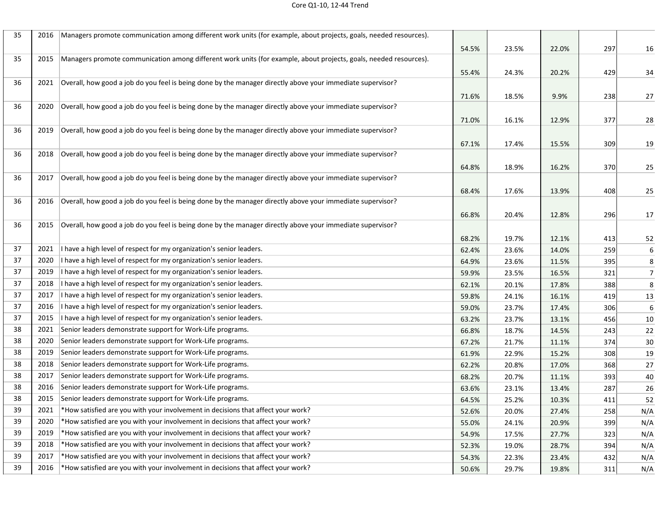| 35 | 2016 | Managers promote communication among different work units (for example, about projects, goals, needed resources). |       |       |       |     |                |
|----|------|-------------------------------------------------------------------------------------------------------------------|-------|-------|-------|-----|----------------|
|    |      |                                                                                                                   | 54.5% | 23.5% | 22.0% | 297 | 16             |
| 35 | 2015 | Managers promote communication among different work units (for example, about projects, goals, needed resources). |       |       |       |     |                |
|    |      |                                                                                                                   | 55.4% | 24.3% | 20.2% | 429 | 34             |
| 36 | 2021 | Overall, how good a job do you feel is being done by the manager directly above your immediate supervisor?        |       |       |       |     |                |
|    |      |                                                                                                                   | 71.6% | 18.5% | 9.9%  | 238 | 27             |
| 36 | 2020 | Overall, how good a job do you feel is being done by the manager directly above your immediate supervisor?        |       |       |       |     |                |
|    |      |                                                                                                                   | 71.0% | 16.1% | 12.9% | 377 | 28             |
| 36 | 2019 | Overall, how good a job do you feel is being done by the manager directly above your immediate supervisor?        |       |       |       |     |                |
|    |      |                                                                                                                   | 67.1% | 17.4% | 15.5% | 309 | 19             |
| 36 | 2018 | Overall, how good a job do you feel is being done by the manager directly above your immediate supervisor?        |       |       |       |     |                |
|    |      |                                                                                                                   | 64.8% | 18.9% | 16.2% | 370 | 25             |
| 36 | 2017 | Overall, how good a job do you feel is being done by the manager directly above your immediate supervisor?        |       |       |       |     |                |
|    |      |                                                                                                                   | 68.4% | 17.6% | 13.9% | 408 | 25             |
| 36 | 2016 | Overall, how good a job do you feel is being done by the manager directly above your immediate supervisor?        |       |       |       |     |                |
|    |      |                                                                                                                   | 66.8% | 20.4% | 12.8% | 296 | 17             |
| 36 | 2015 | Overall, how good a job do you feel is being done by the manager directly above your immediate supervisor?        |       |       |       |     |                |
|    |      |                                                                                                                   | 68.2% | 19.7% | 12.1% | 413 | 52             |
| 37 | 2021 | I have a high level of respect for my organization's senior leaders.                                              | 62.4% | 23.6% | 14.0% | 259 | 6              |
| 37 | 2020 | have a high level of respect for my organization's senior leaders.                                                | 64.9% | 23.6% | 11.5% | 395 | 8              |
| 37 | 2019 | have a high level of respect for my organization's senior leaders.                                                | 59.9% | 23.5% | 16.5% | 321 | $\overline{7}$ |
| 37 | 2018 | have a high level of respect for my organization's senior leaders.                                                | 62.1% | 20.1% | 17.8% | 388 | 8              |
| 37 | 2017 | have a high level of respect for my organization's senior leaders.                                                | 59.8% | 24.1% | 16.1% | 419 | 13             |
| 37 | 2016 | have a high level of respect for my organization's senior leaders.                                                | 59.0% | 23.7% | 17.4% | 306 | 6              |
| 37 | 2015 | I have a high level of respect for my organization's senior leaders.                                              | 63.2% | 23.7% | 13.1% | 456 | 10             |
| 38 | 2021 | Senior leaders demonstrate support for Work-Life programs.                                                        | 66.8% | 18.7% | 14.5% | 243 | 22             |
| 38 | 2020 | Senior leaders demonstrate support for Work-Life programs.                                                        | 67.2% | 21.7% | 11.1% | 374 | 30             |
| 38 | 2019 | Senior leaders demonstrate support for Work-Life programs.                                                        | 61.9% | 22.9% | 15.2% | 308 | 19             |
| 38 | 2018 | Senior leaders demonstrate support for Work-Life programs.                                                        | 62.2% | 20.8% | 17.0% | 368 | 27             |
| 38 | 2017 | Senior leaders demonstrate support for Work-Life programs.                                                        | 68.2% | 20.7% | 11.1% | 393 | 40             |
| 38 | 2016 | Senior leaders demonstrate support for Work-Life programs.                                                        | 63.6% | 23.1% | 13.4% | 287 | 26             |
| 38 | 2015 | Senior leaders demonstrate support for Work-Life programs.                                                        | 64.5% | 25.2% | 10.3% | 411 | 52             |
| 39 | 2021 | *How satisfied are you with your involvement in decisions that affect your work?                                  | 52.6% | 20.0% | 27.4% | 258 | N/A            |
| 39 | 2020 | *How satisfied are you with your involvement in decisions that affect your work?                                  | 55.0% | 24.1% | 20.9% | 399 | N/A            |
| 39 | 2019 | *How satisfied are you with your involvement in decisions that affect your work?                                  | 54.9% | 17.5% | 27.7% | 323 | N/A            |
| 39 | 2018 | *How satisfied are you with your involvement in decisions that affect your work?                                  | 52.3% | 19.0% | 28.7% | 394 | N/A            |
| 39 | 2017 | *How satisfied are you with your involvement in decisions that affect your work?                                  | 54.3% | 22.3% | 23.4% | 432 | N/A            |
| 39 | 2016 | *How satisfied are you with your involvement in decisions that affect your work?                                  | 50.6% | 29.7% | 19.8% | 311 | N/A            |
|    |      |                                                                                                                   |       |       |       |     |                |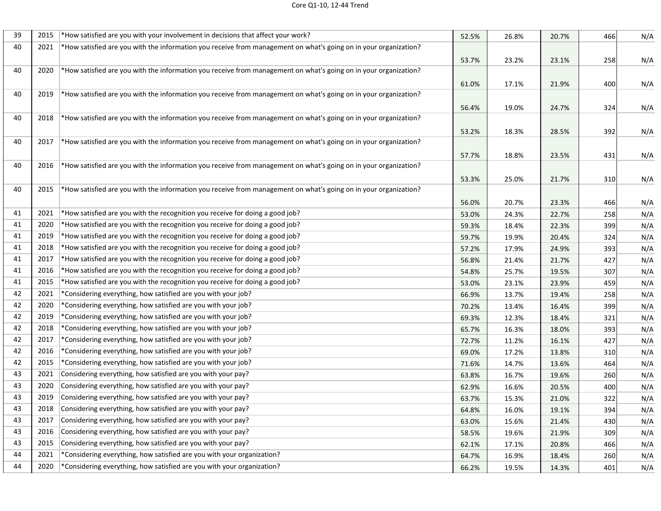| 39 | 2015 | *How satisfied are you with your involvement in decisions that affect your work?                                 | 52.5% | 26.8% | 20.7% | 466 | N/A |
|----|------|------------------------------------------------------------------------------------------------------------------|-------|-------|-------|-----|-----|
| 40 | 2021 | *How satisfied are you with the information you receive from management on what's going on in your organization? |       |       |       |     |     |
|    |      |                                                                                                                  | 53.7% | 23.2% | 23.1% | 258 | N/A |
| 40 | 2020 | *How satisfied are you with the information you receive from management on what's going on in your organization? |       |       |       |     |     |
|    |      |                                                                                                                  | 61.0% | 17.1% | 21.9% | 400 | N/A |
| 40 | 2019 | *How satisfied are you with the information you receive from management on what's going on in your organization? |       |       |       |     |     |
|    |      |                                                                                                                  | 56.4% | 19.0% | 24.7% | 324 | N/A |
| 40 | 2018 | *How satisfied are you with the information you receive from management on what's going on in your organization? |       |       |       |     |     |
|    |      |                                                                                                                  | 53.2% | 18.3% | 28.5% | 392 | N/A |
| 40 | 2017 | *How satisfied are you with the information you receive from management on what's going on in your organization? |       |       |       |     |     |
|    |      |                                                                                                                  | 57.7% | 18.8% | 23.5% | 431 | N/A |
| 40 | 2016 | *How satisfied are you with the information you receive from management on what's going on in your organization? |       |       |       |     |     |
|    |      |                                                                                                                  | 53.3% | 25.0% | 21.7% | 310 | N/A |
| 40 | 2015 | *How satisfied are you with the information you receive from management on what's going on in your organization? |       |       |       |     |     |
|    |      |                                                                                                                  | 56.0% | 20.7% | 23.3% | 466 | N/A |
| 41 | 2021 | *How satisfied are you with the recognition you receive for doing a good job?                                    | 53.0% | 24.3% | 22.7% | 258 | N/A |
| 41 | 2020 | *How satisfied are you with the recognition you receive for doing a good job?                                    | 59.3% | 18.4% | 22.3% | 399 | N/A |
| 41 | 2019 | *How satisfied are you with the recognition you receive for doing a good job?                                    | 59.7% | 19.9% | 20.4% | 324 | N/A |
| 41 | 2018 | *How satisfied are you with the recognition you receive for doing a good job?                                    | 57.2% | 17.9% | 24.9% | 393 | N/A |
| 41 | 2017 | *How satisfied are you with the recognition you receive for doing a good job?                                    | 56.8% | 21.4% | 21.7% | 427 | N/A |
| 41 | 2016 | *How satisfied are you with the recognition you receive for doing a good job?                                    | 54.8% | 25.7% | 19.5% | 307 | N/A |
| 41 | 2015 | *How satisfied are you with the recognition you receive for doing a good job?                                    | 53.0% | 23.1% | 23.9% | 459 | N/A |
| 42 | 2021 | *Considering everything, how satisfied are you with your job?                                                    | 66.9% | 13.7% | 19.4% | 258 | N/A |
| 42 | 2020 | *Considering everything, how satisfied are you with your job?                                                    | 70.2% | 13.4% | 16.4% | 399 | N/A |
| 42 | 2019 | *Considering everything, how satisfied are you with your job?                                                    | 69.3% | 12.3% | 18.4% | 321 | N/A |
| 42 | 2018 | *Considering everything, how satisfied are you with your job?                                                    | 65.7% | 16.3% | 18.0% | 393 | N/A |
| 42 | 2017 | *Considering everything, how satisfied are you with your job?                                                    | 72.7% | 11.2% | 16.1% | 427 | N/A |
| 42 | 2016 | *Considering everything, how satisfied are you with your job?                                                    | 69.0% | 17.2% | 13.8% | 310 | N/A |
| 42 | 2015 | *Considering everything, how satisfied are you with your job?                                                    | 71.6% | 14.7% | 13.6% | 464 | N/A |
| 43 | 2021 | Considering everything, how satisfied are you with your pay?                                                     | 63.8% | 16.7% | 19.6% | 260 | N/A |
| 43 | 2020 | Considering everything, how satisfied are you with your pay?                                                     | 62.9% | 16.6% | 20.5% | 400 | N/A |
| 43 | 2019 | Considering everything, how satisfied are you with your pay?                                                     | 63.7% | 15.3% | 21.0% | 322 | N/A |
| 43 | 2018 | Considering everything, how satisfied are you with your pay?                                                     | 64.8% | 16.0% | 19.1% | 394 | N/A |
| 43 | 2017 | Considering everything, how satisfied are you with your pay?                                                     | 63.0% | 15.6% | 21.4% | 430 | N/A |
| 43 | 2016 | Considering everything, how satisfied are you with your pay?                                                     | 58.5% | 19.6% | 21.9% | 309 | N/A |
| 43 | 2015 | Considering everything, how satisfied are you with your pay?                                                     | 62.1% | 17.1% | 20.8% | 466 | N/A |
| 44 | 2021 | *Considering everything, how satisfied are you with your organization?                                           | 64.7% | 16.9% | 18.4% | 260 | N/A |
| 44 | 2020 | *Considering everything, how satisfied are you with your organization?                                           | 66.2% | 19.5% | 14.3% | 401 | N/A |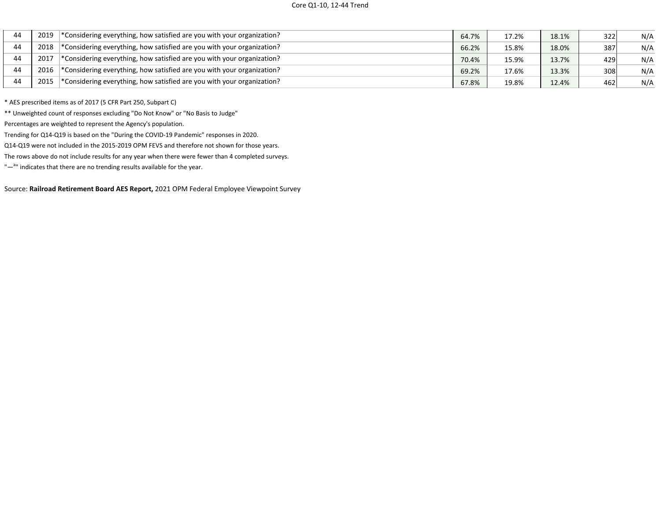| 44 | 2019 | *Considering everything, how satisfied are you with your organization?    | 64.7% | 17.2% | 18.1% | 322 | N/A |
|----|------|---------------------------------------------------------------------------|-------|-------|-------|-----|-----|
| 44 | 2018 | *Considering everything, how satisfied are you with your organization?    | 66.2% | 15.8% | 18.0% | 387 | N/A |
| 44 | 2017 | *Considering everything, how satisfied are you with your organization?    | 70.4% | 15.9% | 13.7% | 429 | N/A |
| 44 | 2016 | *Considering everything, how satisfied are you with your organization?    | 69.2% | 17.6% | 13.3% | 308 | N/A |
| 44 | 2015 | $*$ Considering everything, how satisfied are you with your organization? | 67.8% | 19.8% | 12.4% | 462 | N/A |

\* AES prescribed items as of 2017 (5 CFR Part 250, Subpart C)

\*\* Unweighted count of responses excluding "Do Not Know" or "No Basis to Judge"

Percentages are weighted to represent the Agency's population.

Trending for Q14-Q19 is based on the "During the COVID-19 Pandemic" responses in 2020.

Q14-Q19 were not included in the 2015-2019 OPM FEVS and therefore not shown for those years.

The rows above do not include results for any year when there were fewer than 4 completed surveys.

"-<sup>a</sup>" indicates that there are no trending results available for the year.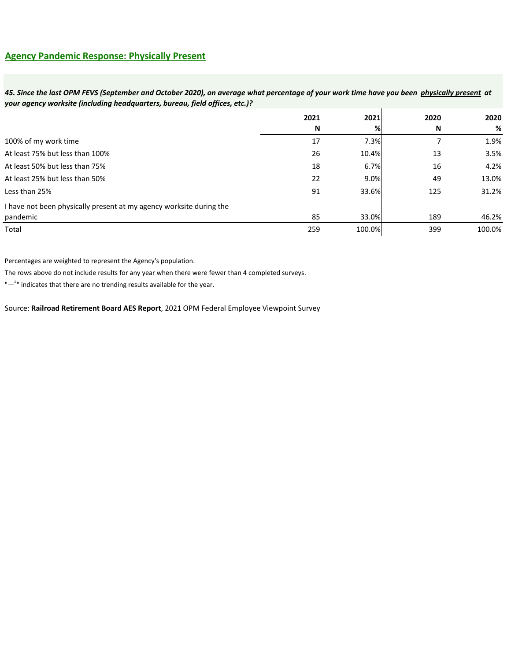### *45. Since the last OPM FEVS (September and October 2020), on average what percentage of your work time have you been physically present at your agency worksite (including headquarters, bureau, field offices, etc.)?*

|                                                                     | 2021 | 2021   | 2020     | 2020   |
|---------------------------------------------------------------------|------|--------|----------|--------|
|                                                                     | N    | %      | <b>N</b> | %      |
| 100% of my work time                                                | 17   | 7.3%   |          | 1.9%   |
| At least 75% but less than 100%                                     | 26   | 10.4%  | 13       | 3.5%   |
| At least 50% but less than 75%                                      | 18   | 6.7%   | 16       | 4.2%   |
| At least 25% but less than 50%                                      | 22   | 9.0%   | 49       | 13.0%  |
| Less than 25%                                                       | 91   | 33.6%  | 125      | 31.2%  |
| I have not been physically present at my agency worksite during the |      |        |          |        |
| pandemic                                                            | 85   | 33.0%  | 189      | 46.2%  |
| Total                                                               | 259  | 100.0% | 399      | 100.0% |

Percentages are weighted to represent the Agency's population.

The rows above do not include results for any year when there were fewer than 4 completed surveys.

"-<sup>a</sup>" indicates that there are no trending results available for the year.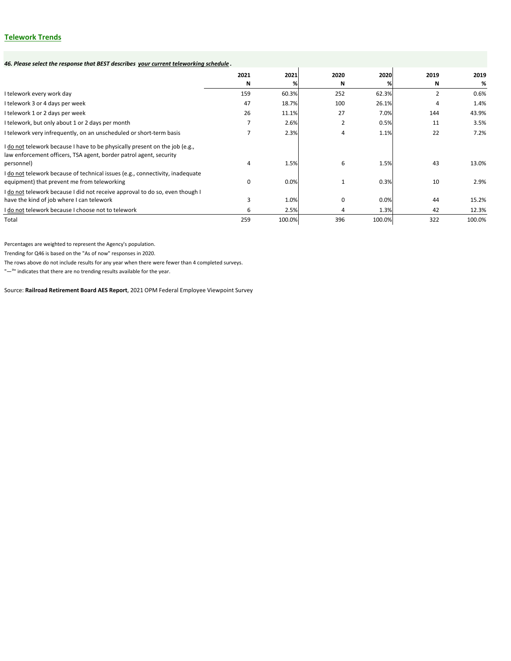# **Telework Trends**

| 46. Please select the response that BEST describes your current teleworking schedule.                                                                           |           |           |                |           |           |              |
|-----------------------------------------------------------------------------------------------------------------------------------------------------------------|-----------|-----------|----------------|-----------|-----------|--------------|
|                                                                                                                                                                 | 2021<br>N | 2021<br>℅ | 2020<br>N      | 2020<br>℅ | 2019<br>N | 2019<br>$\%$ |
| I telework every work day                                                                                                                                       | 159       | 60.3%     | 252            | 62.3%     |           | 0.6%         |
| I telework 3 or 4 days per week                                                                                                                                 | 47        | 18.7%     | 100            | 26.1%     | 4         | 1.4%         |
| I telework 1 or 2 days per week                                                                                                                                 | 26        | 11.1%     | 27             | 7.0%      | 144       | 43.9%        |
| I telework, but only about 1 or 2 days per month                                                                                                                |           | 2.6%      | $\overline{2}$ | 0.5%      | 11        | 3.5%         |
| I telework very infrequently, on an unscheduled or short-term basis                                                                                             |           | 2.3%      | 4              | 1.1%      | 22        | 7.2%         |
| I do not telework because I have to be physically present on the job (e.g.,<br>law enforcement officers, TSA agent, border patrol agent, security<br>personnel) | 4         | 1.5%      | 6              | 1.5%      | 43        | 13.0%        |
| I do not telework because of technical issues (e.g., connectivity, inadequate<br>equipment) that prevent me from teleworking                                    | 0         | 0.0%      | $\mathbf{1}$   | 0.3%      | 10        | 2.9%         |
| I do not telework because I did not receive approval to do so, even though I<br>have the kind of job where I can telework                                       | 3         | 1.0%      | 0              | 0.0%      | 44        | 15.2%        |
| I do not telework because I choose not to telework                                                                                                              | 6         | 2.5%      | 4              | 1.3%      | 42        | 12.3%        |
| Total                                                                                                                                                           | 259       | 100.0%    | 396            | 100.0%    | 322       | 100.0%       |

Source: **Railroad Retirement Board AES Report**, 2021 OPM Federal Employee Viewpoint Survey

Percentages are weighted to represent the Agency's population.

Trending for Q46 is based on the "As of now" responses in 2020.

The rows above do not include results for any year when there were fewer than 4 completed surveys.

"-<sup>a</sup>" indicates that there are no trending results available for the year.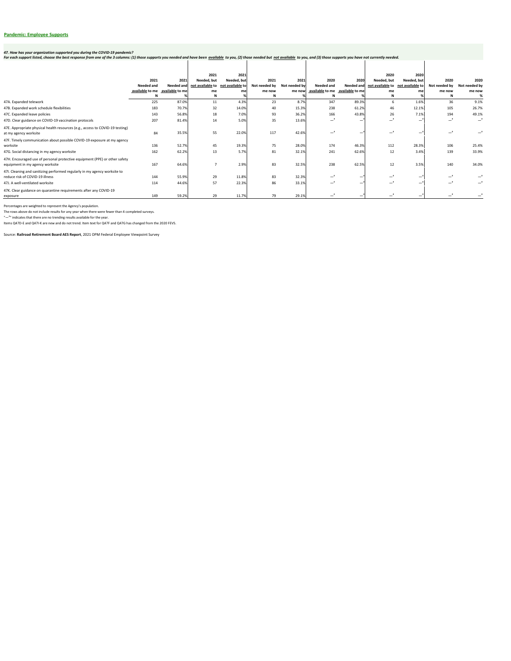# **Pandemic: Employee Supports**

|                                                                                                               |                   |                                 | 2021        | 2021                              |               |               |                                 |                   | 2020                              | 2020        |                  |                  |
|---------------------------------------------------------------------------------------------------------------|-------------------|---------------------------------|-------------|-----------------------------------|---------------|---------------|---------------------------------|-------------------|-----------------------------------|-------------|------------------|------------------|
|                                                                                                               | 2021              | 2021                            | Needed, but | Needed, but                       | 2021          | 2021          | 2020                            | 2020              | Needed, but                       | Needed, but | 2020             | 2020             |
|                                                                                                               | <b>Needed and</b> | Needed and                      |             | not available to not available to | Not needed by | Not needed by | Needed and                      | <b>Needed and</b> | not available to not available to |             | Not needed by    | Not needed by    |
|                                                                                                               |                   | available to me available to me | me          | me                                | me now        | me now        | available to me available to me |                   | me                                | me          | me now           | me now           |
|                                                                                                               |                   |                                 |             |                                   | N             |               | N                               |                   |                                   |             | <b>N</b>         |                  |
| 47A. Expanded telework                                                                                        | 225               | 87.0%                           | 11          | 4.3%                              | 23            | 8.7%          | 347                             | 89.3%             | 6                                 | 1.6%        | 36               | 9.1%             |
| 47B. Expanded work schedule flexibilities                                                                     | 183               | 70.7%                           | 32          | 14.0%                             | 40            | 15.3%         | 238                             | 61.2%             | 46                                | 12.1%       | 105              | 26.7%            |
| 47C. Expanded leave policies                                                                                  | 143               | 56.8%                           | 18          | 7.0%                              | 93            | 36.2%         | 166                             | 43.8%             | 26                                | 7.1%        | 194              | 49.1%            |
| 47D. Clear guidance on COVID-19 vaccination protocols                                                         | 207               | 81.4%                           | 14          | 5.0%                              | 35            | 13.6%         | $-{}^a$                         |                   | $-$ <sup>a</sup>                  |             | $-$ <sup>a</sup> | $-$ <sup>a</sup> |
| 47E. Appropriate physical health resources (e.g., access to COVID-19 testing)<br>at my agency worksite        | 84                | 35.5%                           | 55          | 22.0%                             | 117           | 42.6%         |                                 |                   | $-$                               |             | $-$ <sup>a</sup> |                  |
| 47F. Timely communication about possible COVID-19 exposure at my agency<br>worksite                           | 136               | 52.7%                           | 45          | 19.3%                             | 75            | 28.0%         | 174                             | 46.3%             | 112                               | 28.3%       | 106              | 25.4%            |
|                                                                                                               | 162               | 62.2%                           | 13          | 5.7%                              | 81            | 32.1%         | 241                             | 62.6%             | 12                                | 3.4%        | 139              | 33.9%            |
| 47G. Social distancing in my agency worksite                                                                  |                   |                                 |             |                                   |               |               |                                 |                   |                                   |             |                  |                  |
| 47H. Encouraged use of personal protective equipment (PPE) or other safety<br>equipment in my agency worksite | 167               | 64.6%                           |             | 2.9%                              | 83            | 32.5%         | 238                             | 62.5%             | 12                                | 3.5%        | 140              | 34.0%            |
| 47I. Cleaning and sanitizing performed regularly in my agency worksite to<br>reduce risk of COVID-19 illness  | 144               | 55.9%                           | 29          | 11.8%                             | 83            | 32.3%         | —                               |                   | $-$ <sup>a</sup>                  |             | $-$ <sup>a</sup> |                  |
| 47J. A well-ventilated worksite                                                                               | 114               | 44.6%                           | 57          | 22.3%                             | 86            | 33.1%         |                                 |                   | a a<br>—                          |             | $-$ <sup>a</sup> |                  |
| 47K. Clear guidance on quarantine requirements after any COVID-19<br>exposure                                 | 149               | 59.2%                           | 29          | 11.7%                             | 79            | 29.1%         |                                 |                   |                                   |             | $-{}^a$          |                  |

Source: **Railroad Retirement Board AES Report**, 2021 OPM Federal Employee Viewpoint Survey

#### *47. How has your organization supported you during the COVID-19 pandemic?*

For each support listed, choose the best response from one of the 3 columns: (1) those supports you needed and have been <u>available</u> to you, (2) those needed but not available to you, and (3) those supports you have not cu

Percentages are weighted to represent the Agency's population.

The rows above do not include results for any year when there were fewer than 4 completed surveys.

"-<sup>a</sup>" indicates that there are no trending results available for the year.

Items Q47D-E and Q47I-K are new and do not trend. Item text for Q47F and Q47G has changed from the 2020 FEVS.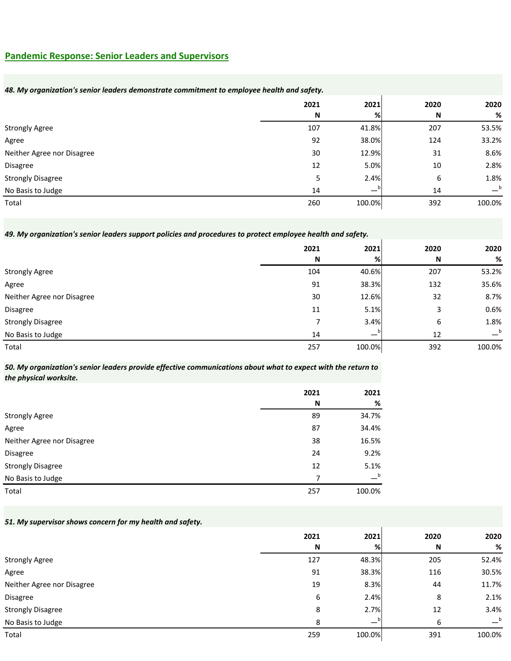### **Pandemic Response: Senior Leaders and Supervisors**

#### *48. My organization's senior leaders demonstrate commitment to employee health and safety.*

|                            | 2021        | 2021   | 2020 | 2020   |
|----------------------------|-------------|--------|------|--------|
|                            | $\mathbf N$ | %      | N    | %      |
| <b>Strongly Agree</b>      | 107         | 41.8%  | 207  | 53.5%  |
| Agree                      | 92          | 38.0%  | 124  | 33.2%  |
| Neither Agree nor Disagree | 30          | 12.9%  | 31   | 8.6%   |
| Disagree                   | 12          | 5.0%   | 10   | 2.8%   |
| <b>Strongly Disagree</b>   | 5           | 2.4%   | 6    | 1.8%   |
| No Basis to Judge          | 14          | — 1    | 14   | $-b$   |
| Total                      | 260         | 100.0% | 392  | 100.0% |

#### *49. My organization's senior leaders support policies and procedures to protect employee health and safety.*

|                            | 2021 | 2021   | 2020 | 2020   |
|----------------------------|------|--------|------|--------|
|                            | N    | %      | N    | %      |
| <b>Strongly Agree</b>      | 104  | 40.6%  | 207  | 53.2%  |
| Agree                      | 91   | 38.3%  | 132  | 35.6%  |
| Neither Agree nor Disagree | 30   | 12.6%  | 32   | 8.7%   |
| <b>Disagree</b>            | 11   | 5.1%   | 3    | 0.6%   |
| <b>Strongly Disagree</b>   |      | 3.4%   | 6    | 1.8%   |
| No Basis to Judge          | 14   |        | 12   | b      |
| Total                      | 257  | 100.0% | 392  | 100.0% |

#### *50. My organization's senior leaders provide effective communications about what to expect with the return to the physical worksite.*

|                            | 2021 | 2021             |
|----------------------------|------|------------------|
|                            | N    | %                |
| <b>Strongly Agree</b>      | 89   | 34.7%            |
| Agree                      | 87   | 34.4%            |
| Neither Agree nor Disagree | 38   | 16.5%            |
| Disagree                   | 24   | 9.2%             |
| <b>Strongly Disagree</b>   | 12   | 5.1%             |
| No Basis to Judge          | 7    | $-^{\mathsf{b}}$ |
| Total                      | 257  | 100.0%           |

#### *51. My supervisor shows concern for my health and safety.*

|                            | 2021        | 2021   | 2020 | 2020             |
|----------------------------|-------------|--------|------|------------------|
|                            | $\mathbf N$ | %      | N    | %                |
| <b>Strongly Agree</b>      | 127         | 48.3%  | 205  | 52.4%            |
| Agree                      | 91          | 38.3%  | 116  | 30.5%            |
| Neither Agree nor Disagree | 19          | 8.3%   | 44   | 11.7%            |
| <b>Disagree</b>            | 6           | 2.4%   | 8    | 2.1%             |
| <b>Strongly Disagree</b>   | 8           | 2.7%   | 12   | 3.4%             |
| No Basis to Judge          | 8           |        | 6    | $-^{\mathsf{b}}$ |
| Total                      | 259         | 100.0% | 391  | 100.0%           |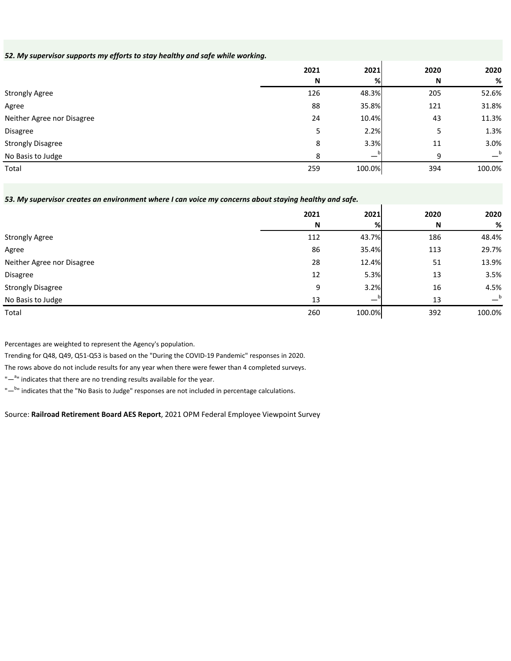#### *52. My supervisor supports my efforts to stay healthy and safe while working.*

|                            | 2021         | 2021   | 2020 | 2020   |
|----------------------------|--------------|--------|------|--------|
|                            | $\mathsf{N}$ | %      | N    | %      |
| <b>Strongly Agree</b>      | 126          | 48.3%  | 205  | 52.6%  |
| Agree                      | 88           | 35.8%  | 121  | 31.8%  |
| Neither Agree nor Disagree | 24           | 10.4%  | 43   | 11.3%  |
| Disagree                   | 5.           | 2.2%   | 5    | 1.3%   |
| <b>Strongly Disagree</b>   | 8            | 3.3%   | 11   | 3.0%   |
| No Basis to Judge          | 8            |        | 9    | b      |
| Total                      | 259          | 100.0% | 394  | 100.0% |

#### *53. My supervisor creates an environment where I can voice my concerns about staying healthy and safe.*

|                            | 2021 | 2021                     | 2020 | 2020             |
|----------------------------|------|--------------------------|------|------------------|
|                            | N    | %                        | N    | %                |
| <b>Strongly Agree</b>      | 112  | 43.7%                    | 186  | 48.4%            |
| Agree                      | 86   | 35.4%                    | 113  | 29.7%            |
| Neither Agree nor Disagree | 28   | 12.4%                    | 51   | 13.9%            |
| Disagree                   | 12   | 5.3%                     | 13   | 3.5%             |
| <b>Strongly Disagree</b>   | 9    | 3.2%                     | 16   | 4.5%             |
| No Basis to Judge          | 13   | $\overline{\phantom{0}}$ | 13   | $-^{\mathsf{b}}$ |
| Total                      | 260  | 100.0%                   | 392  | 100.0%           |

Percentages are weighted to represent the Agency's population.

Trending for Q48, Q49, Q51-Q53 is based on the "During the COVID-19 Pandemic" responses in 2020.

The rows above do not include results for any year when there were fewer than 4 completed surveys.

"-<sup>a</sup>" indicates that there are no trending results available for the year.

"-<sup>b</sup>" indicates that the "No Basis to Judge" responses are not included in percentage calculations.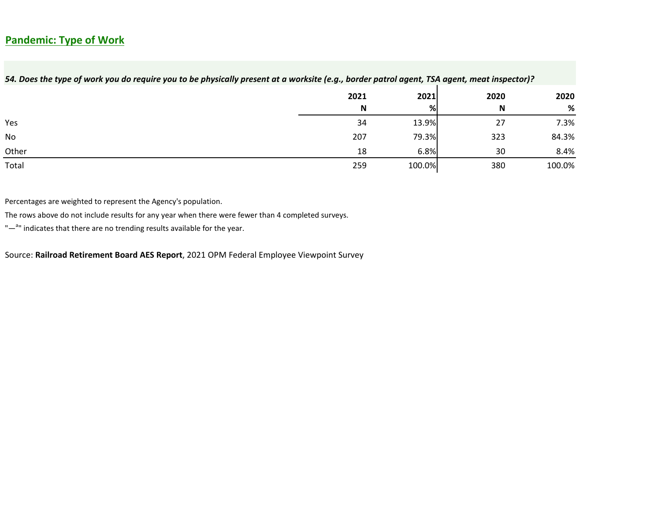# **Pandemic: Type of Work**

| 54. Does the type of work you do require you to be physically present at a worksite (e.g., border patrol agent, TSA agent, meat inspector)? |      |        |      |        |  |  |
|---------------------------------------------------------------------------------------------------------------------------------------------|------|--------|------|--------|--|--|
|                                                                                                                                             | 2021 | 2021   | 2020 | 2020   |  |  |
|                                                                                                                                             | N    | %      | N    | %      |  |  |
| Yes                                                                                                                                         | 34   | 13.9%  | 27   | 7.3%   |  |  |
| No                                                                                                                                          | 207  | 79.3%  | 323  | 84.3%  |  |  |
| Other                                                                                                                                       | 18   | 6.8%   | 30   | 8.4%   |  |  |
| Total                                                                                                                                       | 259  | 100.0% | 380  | 100.0% |  |  |

Percentages are weighted to represent the Agency's population.

The rows above do not include results for any year when there were fewer than 4 completed surveys.

"-<sup>a</sup>" indicates that there are no trending results available for the year.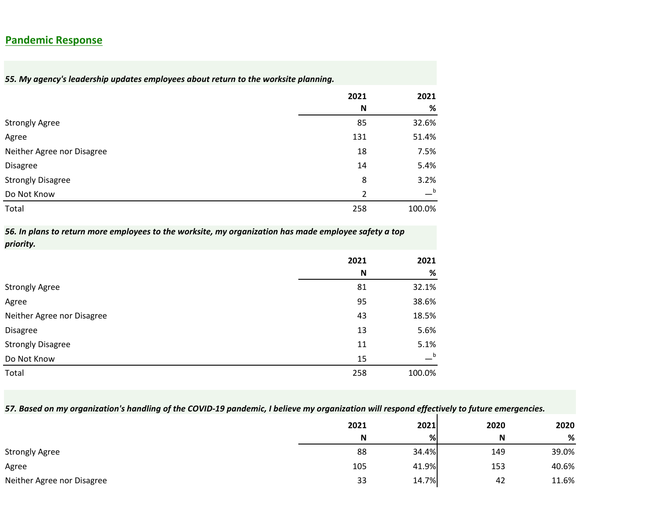### **Pandemic Response**

*55. My agency's leadership updates employees about return to the worksite planning.*

|                            | 2021          | 2021   |
|----------------------------|---------------|--------|
|                            | N             | %      |
| <b>Strongly Agree</b>      | 85            | 32.6%  |
| Agree                      | 131           | 51.4%  |
| Neither Agree nor Disagree | 18            | 7.5%   |
| <b>Disagree</b>            | 14            | 5.4%   |
| <b>Strongly Disagree</b>   | 8             | 3.2%   |
| Do Not Know                | $\mathcal{P}$ | $-b$   |
| Total                      | 258           | 100.0% |

*56. In plans to return more employees to the worksite, my organization has made employee safety a top priority.*

|                            | 2021 | 2021             |
|----------------------------|------|------------------|
|                            | N    | %                |
| <b>Strongly Agree</b>      | 81   | 32.1%            |
| Agree                      | 95   | 38.6%            |
| Neither Agree nor Disagree | 43   | 18.5%            |
| Disagree                   | 13   | 5.6%             |
| <b>Strongly Disagree</b>   | 11   | 5.1%             |
| Do Not Know                | 15   | $-^{\mathsf{b}}$ |
| Total                      | 258  | 100.0%           |

# *57. Based on my organization's handling of the COVID-19 pandemic, I believe my organization will respond effectively to future emergencies.*

|                            | 2021 | 2021  | 2020 | 2020  |
|----------------------------|------|-------|------|-------|
|                            | N    | %     | N    | %     |
| <b>Strongly Agree</b>      | 88   | 34.4% | 149  | 39.0% |
| Agree                      | 105  | 41.9% | 153  | 40.6% |
| Neither Agree nor Disagree | 33   | 14.7% | 42   | 11.6% |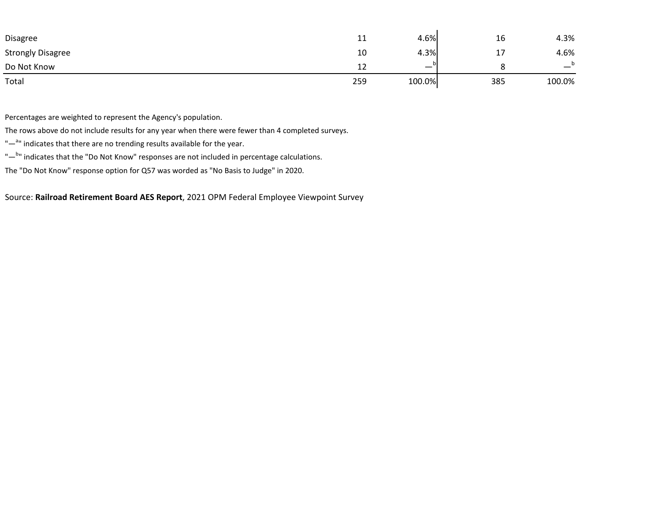| Disagree                 | 11  | 4.6%   | 16  | 4.3%   |
|--------------------------|-----|--------|-----|--------|
| <b>Strongly Disagree</b> | 10  | 4.3%   | a 1 | 4.6%   |
| Do Not Know              | 12  |        |     | –      |
| Total                    | 259 | 100.0% | 385 | 100.0% |

Percentages are weighted to represent the Agency's population.

The rows above do not include results for any year when there were fewer than 4 completed surveys.

- "-<sup>a</sup>" indicates that there are no trending results available for the year.
- "-<sup>b</sup>" indicates that the "Do Not Know" responses are not included in percentage calculations.

The "Do Not Know" response option for Q57 was worded as "No Basis to Judge" in 2020.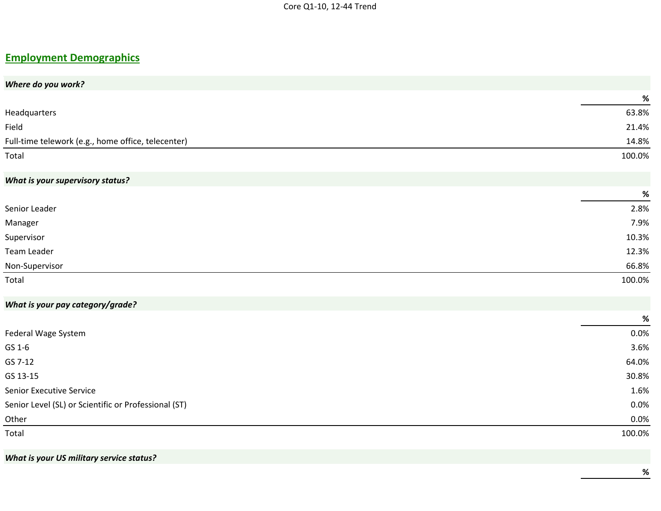# **Employment Demographics**

| Where do you work?                                   |        |
|------------------------------------------------------|--------|
|                                                      | $\%$   |
| Headquarters                                         | 63.8%  |
| Field                                                | 21.4%  |
| Full-time telework (e.g., home office, telecenter)   | 14.8%  |
| Total                                                | 100.0% |
| <b>What is your supervisory status?</b>              |        |
|                                                      | $\%$   |
| Senior Leader                                        | 2.8%   |
| Manager                                              | 7.9%   |
| Supervisor                                           | 10.3%  |
| Team Leader                                          | 12.3%  |
| Non-Supervisor                                       | 66.8%  |
| Total                                                | 100.0% |
| What is your pay category/grade?                     |        |
|                                                      | $\%$   |
| Federal Wage System                                  | 0.0%   |
| GS 1-6                                               | 3.6%   |
| GS 7-12                                              | 64.0%  |
| GS 13-15                                             | 30.8%  |
| Senior Executive Service                             | 1.6%   |
| Senior Level (SL) or Scientific or Professional (ST) | 0.0%   |
| Other                                                | 0.0%   |
| Total                                                | 100.0% |
|                                                      |        |

*What is your US military service status?*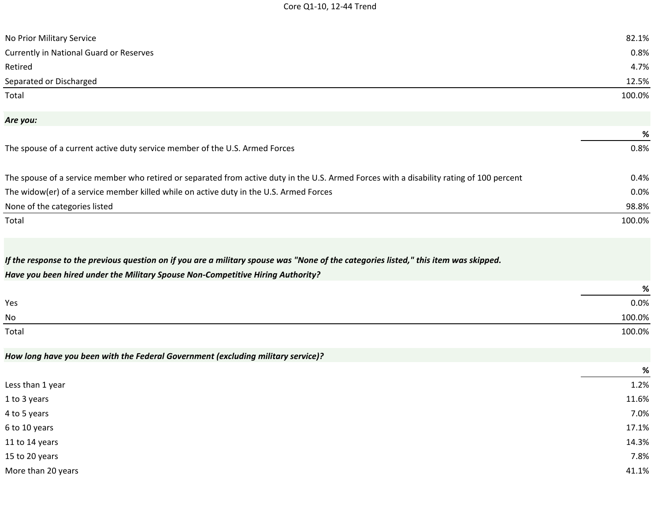| No Prior Military Service                                                                                                                                                                                               | 82.1%  |
|-------------------------------------------------------------------------------------------------------------------------------------------------------------------------------------------------------------------------|--------|
| <b>Currently in National Guard or Reserves</b>                                                                                                                                                                          | 0.8%   |
| Retired                                                                                                                                                                                                                 | 4.7%   |
| Separated or Discharged                                                                                                                                                                                                 | 12.5%  |
| Total                                                                                                                                                                                                                   | 100.0% |
| Are you:                                                                                                                                                                                                                |        |
|                                                                                                                                                                                                                         | %      |
| The spouse of a current active duty service member of the U.S. Armed Forces                                                                                                                                             | 0.8%   |
| The spouse of a service member who retired or separated from active duty in the U.S. Armed Forces with a disability rating of 100 percent                                                                               | 0.4%   |
| The widow(er) of a service member killed while on active duty in the U.S. Armed Forces                                                                                                                                  | 0.0%   |
| None of the categories listed                                                                                                                                                                                           | 98.8%  |
| Total                                                                                                                                                                                                                   | 100.0% |
| If the response to the previous question on if you are a military spouse was "None of the categories listed," this item was skipped.<br>Have you been hired under the Military Spouse Non-Competitive Hiring Authority? |        |
|                                                                                                                                                                                                                         | %      |
| Yes                                                                                                                                                                                                                     | 0.0%   |
| No                                                                                                                                                                                                                      | 100.0% |
| Total                                                                                                                                                                                                                   | 100.0% |
| How long have you been with the Federal Government (excluding military service)?                                                                                                                                        |        |
|                                                                                                                                                                                                                         | %      |
| Less than 1 year                                                                                                                                                                                                        | 1.2%   |
| 1 to 3 years                                                                                                                                                                                                            | 11.6%  |
| 4 to 5 years                                                                                                                                                                                                            | 7.0%   |
| 6 to 10 years                                                                                                                                                                                                           | 17.1%  |
| 11 to 14 years                                                                                                                                                                                                          | 14.3%  |
| 15 to 20 years                                                                                                                                                                                                          | 7.8%   |
| More than 20 years                                                                                                                                                                                                      | 41.1%  |
|                                                                                                                                                                                                                         |        |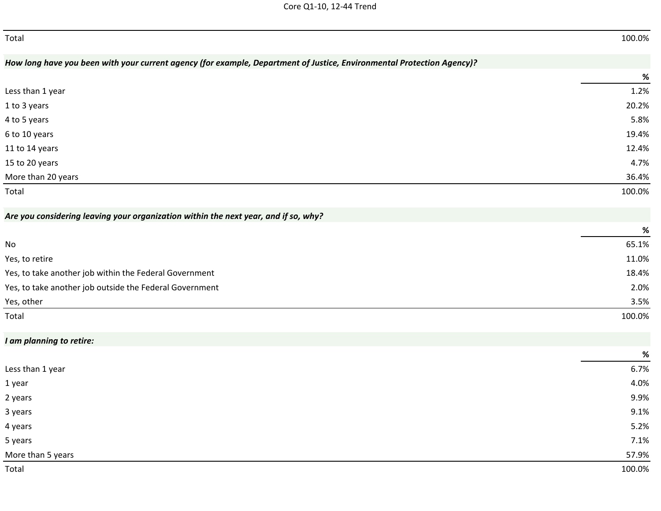| Total                                                                                                                  | 100.0% |
|------------------------------------------------------------------------------------------------------------------------|--------|
| How long have you been with your current agency (for example, Department of Justice, Environmental Protection Agency)? |        |
|                                                                                                                        | %      |
| Less than 1 year                                                                                                       | 1.2%   |
| 1 to 3 years                                                                                                           | 20.2%  |
| 4 to 5 years                                                                                                           | 5.8%   |
| 6 to 10 years                                                                                                          | 19.4%  |
| 11 to 14 years                                                                                                         | 12.4%  |
| 15 to 20 years                                                                                                         | 4.7%   |
| More than 20 years                                                                                                     | 36.4%  |
| Total                                                                                                                  | 100.0% |
| Are you considering leaving your organization within the next year, and if so, why?                                    |        |
|                                                                                                                        | %      |
| No                                                                                                                     | 65.1%  |
| Yes, to retire                                                                                                         | 11.0%  |
| Yes, to take another job within the Federal Government                                                                 | 18.4%  |
| Yes, to take another job outside the Federal Government                                                                | 2.0%   |
| Yes, other                                                                                                             | 3.5%   |
| Total                                                                                                                  | 100.0% |
| I am planning to retire:                                                                                               |        |
|                                                                                                                        | %      |
| Less than 1 year                                                                                                       | 6.7%   |
| 1 year                                                                                                                 | 4.0%   |
| 2 years                                                                                                                | 9.9%   |
| 3 years                                                                                                                | 9.1%   |
| 4 years                                                                                                                | 5.2%   |
| 5 years                                                                                                                | 7.1%   |
| More than 5 years                                                                                                      | 57.9%  |
| Total                                                                                                                  | 100.0% |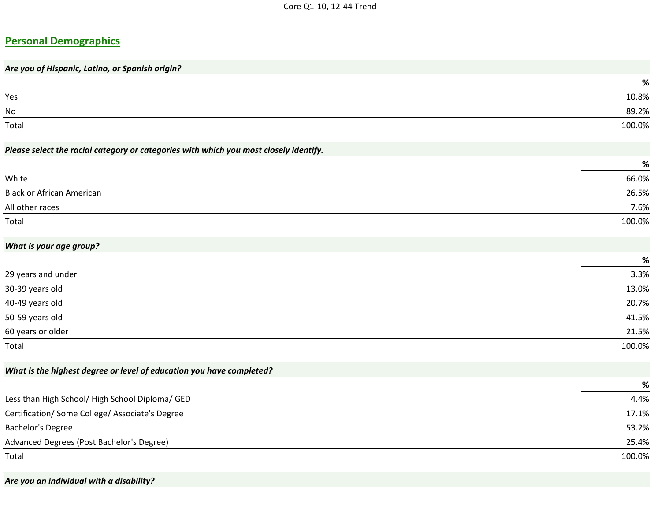# **Personal Demographics**

| Are you of Hispanic, Latino, or Spanish origin?                                       |        |
|---------------------------------------------------------------------------------------|--------|
|                                                                                       | $\%$   |
| Yes                                                                                   | 10.8%  |
| No                                                                                    | 89.2%  |
| Total                                                                                 | 100.0% |
| Please select the racial category or categories with which you most closely identify. |        |
|                                                                                       | $\%$   |
| White                                                                                 | 66.0%  |
| <b>Black or African American</b>                                                      | 26.5%  |
| All other races                                                                       | 7.6%   |
| Total                                                                                 | 100.0% |
| What is your age group?                                                               |        |
|                                                                                       | %      |
| 29 years and under                                                                    | 3.3%   |
| 30-39 years old                                                                       | 13.0%  |
| 40-49 years old                                                                       | 20.7%  |
| 50-59 years old                                                                       | 41.5%  |
| 60 years or older                                                                     | 21.5%  |
| Total                                                                                 | 100.0% |
| What is the highest degree or level of education you have completed?                  |        |
|                                                                                       | %      |
| Less than High School/ High School Diploma/ GED                                       | 4.4%   |
| Certification/ Some College/ Associate's Degree                                       | 17.1%  |
| Bachelor's Degree                                                                     | 53.2%  |
| Advanced Degrees (Post Bachelor's Degree)                                             | 25.4%  |
| Total                                                                                 | 100.0% |

*Are you an individual with a disability?*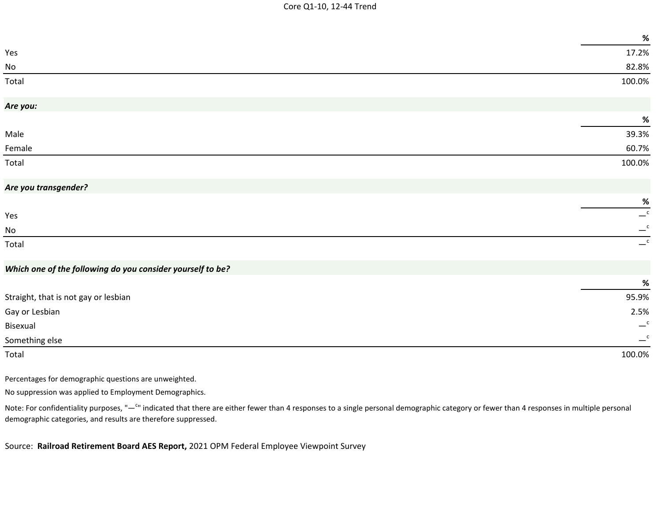|                                                                                                                                                                                                       | %                                  |
|-------------------------------------------------------------------------------------------------------------------------------------------------------------------------------------------------------|------------------------------------|
| Yes                                                                                                                                                                                                   | 17.2%                              |
| No                                                                                                                                                                                                    | 82.8%                              |
| Total                                                                                                                                                                                                 | 100.0%                             |
| Are you:                                                                                                                                                                                              |                                    |
|                                                                                                                                                                                                       | $\%$                               |
| Male                                                                                                                                                                                                  | 39.3%                              |
| Female                                                                                                                                                                                                | 60.7%                              |
| Total                                                                                                                                                                                                 | 100.0%                             |
| Are you transgender?                                                                                                                                                                                  |                                    |
|                                                                                                                                                                                                       | $\%$                               |
| Yes                                                                                                                                                                                                   | $\overline{\phantom{0}}^{\,\rm c}$ |
| No                                                                                                                                                                                                    | $-{\rm c}$                         |
| Total                                                                                                                                                                                                 | $\overline{\phantom{a}}^c$         |
| Which one of the following do you consider yourself to be?                                                                                                                                            |                                    |
|                                                                                                                                                                                                       | $\%$                               |
| Straight, that is not gay or lesbian                                                                                                                                                                  | 95.9%                              |
| Gay or Lesbian                                                                                                                                                                                        | 2.5%                               |
| Bisexual                                                                                                                                                                                              | $-{\rm ^c}$                        |
| Something else                                                                                                                                                                                        | $-{\rm c}$                         |
| Total                                                                                                                                                                                                 | 100.0%                             |
| Percentages for demographic questions are unweighted.                                                                                                                                                 |                                    |
| No suppression was applied to Employment Demographics.                                                                                                                                                |                                    |
| Note: For confidentiality purposes, "- <sup>c</sup> " indicated that there are either fewer than 4 responses to a single personal demographic category or fewer than 4 responses in multiple personal |                                    |

demographic categories, and results are therefore suppressed.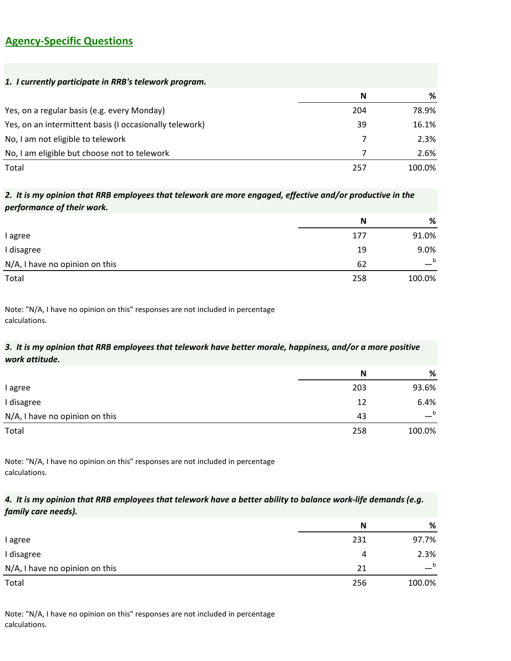### **Agency-Specific Questions**

| 1. I currently participate in RRB's telework program.   |     |        |
|---------------------------------------------------------|-----|--------|
|                                                         | N   | %      |
| Yes, on a regular basis (e.g. every Monday)             | 204 | 78.9%  |
| Yes, on an intermittent basis (I occasionally telework) | 39  | 16.1%  |
| No, I am not eligible to telework                       | 7   | 2.3%   |
| No, I am eligible but choose not to telework            | 7   | 2.6%   |
| Total                                                   | 257 | 100.0% |

# **Response Option N %** *2. It is my opinion that RRB employees that telework are more engaged, effective and/or productive in the performance of their work.*

| l agree                        | 177 | 91.0%  |
|--------------------------------|-----|--------|
| I disagree                     | 19  | 9.0%   |
| N/A, I have no opinion on this | 62  | b      |
| Total                          | 258 | 100.0% |

Note: "N/A, I have no opinion on this" responses are not included in percentage calculations.

#### *3. It is my opinion that RRB employees that telework have better morale, happiness, and/or a more positive work attitude.*

|                                | N   | %            |
|--------------------------------|-----|--------------|
| I agree                        | 203 | 93.6%        |
| I disagree                     | 12  | 6.4%         |
| N/A, I have no opinion on this | 43  | $\mathbf{b}$ |
| Total                          | 258 | 100.0%       |

Note: "N/A, I have no opinion on this" responses are not included in percentage calculations.

#### *4. It is my opinion that RRB employees that telework have a better ability to balance work-life demands (e.g. family care needs).*

|                                | N   | %           |
|--------------------------------|-----|-------------|
| I agree                        | 231 | 97.7%       |
| I disagree                     | 4   | 2.3%        |
| N/A, I have no opinion on this | 21  | $\mathbf b$ |
| Total                          | 256 | 100.0%      |

Note: "N/A, I have no opinion on this" responses are not included in percentage calculations.